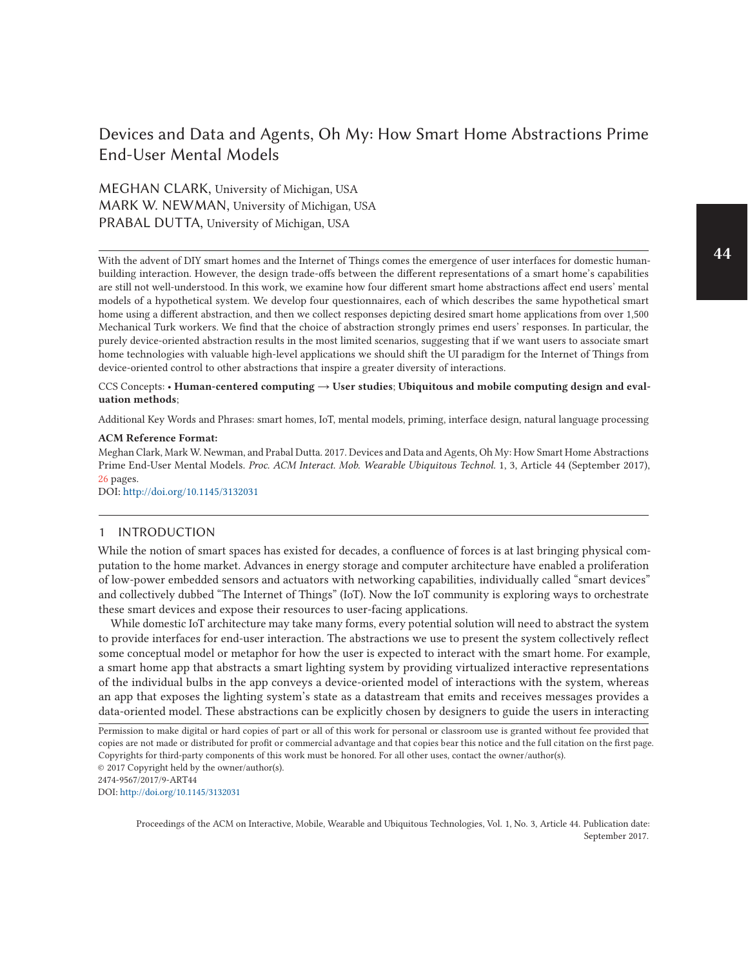MEGHAN CLARK, University of Michigan, USA MARK W. NEWMAN, University of Michigan, USA PRABAL DUTTA, University of Michigan, USA

With the advent of DIY smart homes and the Internet of Things comes the emergence of user interfaces for domestic humanbuilding interaction. However, the design trade-offs between the different representations of a smart home's capabilities are still not well-understood. In this work, we examine how four different smart home abstractions affect end users' mental models of a hypothetical system. We develop four questionnaires, each of which describes the same hypothetical smart home using a different abstraction, and then we collect responses depicting desired smart home applications from over 1,500 Mechanical Turk workers. We find that the choice of abstraction strongly primes end users' responses. In particular, the purely device-oriented abstraction results in the most limited scenarios, suggesting that if we want users to associate smart home technologies with valuable high-level applications we should shift the UI paradigm for the Internet of Things from device-oriented control to other abstractions that inspire a greater diversity of interactions.

#### CCS Concepts: • **Human-centered computing** → **User studies**; **Ubiquitous and mobile computing design and evaluation methods**;

Additional Key Words and Phrases: smart homes, IoT, mental models, priming, interface design, natural language processing

#### **ACM Reference Format:**

Meghan Clark, Mark W. Newman, and Prabal Dutta. 2017. Devices and Data and Agents, Oh My: How Smart Home Abstractions Prime End-User Mental Models. *Proc. ACM Interact. Mob. Wearable Ubiquitous Technol.* 1, 3, Article 44 (September 2017), [26](#page-25-0) pages.

DOI: [http://doi.org/10.1145/3132](https://doi.org/10.1145/3132031)031

### 1 INTRODUCTION

While the notion of smart spaces has existed for decades, a confluence of forces is at last bringing physical computation to the home market. Advances in energy storage and computer architecture have enabled a proliferation of low-power embedded sensors and actuators with networking capabilities, individually called "smart devices" and collectively dubbed "The Internet of Things" (IoT). Now the IoT community is exploring ways to orchestrate these smart devices and expose their resources to user-facing applications.

While domestic IoT architecture may take many forms, every potential solution will need to abstract the system to provide interfaces for end-user interaction. The abstractions we use to present the system collectively reflect some conceptual model or metaphor for how the user is expected to interact with the smart home. For example, a smart home app that abstracts a smart lighting system by providing virtualized interactive representations of the individual bulbs in the app conveys a device-oriented model of interactions with the system, whereas an app that exposes the lighting system's state as a datastream that emits and receives messages provides a data-oriented model. These abstractions can be explicitly chosen by designers to guide the users in interacting

Permission to make digital or hard copies of part or all of this work for personal or classroom use is granted without fee provided that copies are not made or distributed for profit or commercial advantage and that copies bear this notice and the full citation on the first page. Copyrights for third-party components of this work must be honored. For all other uses, contact the owner/author(s). © 2017 Copyright held by the owner/author(s).

DOI: [http://doi.org/10.1145/3132](https://doi.org/10.1145/3132031)031

<sup>2474-9567/2017/9-</sup>ART44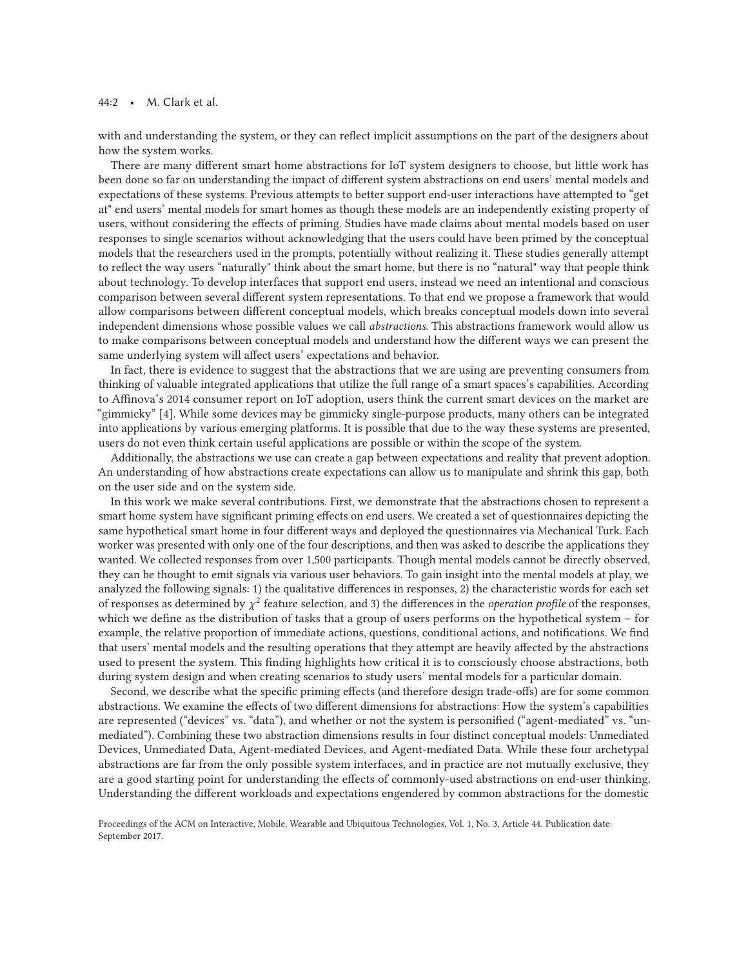#### 44:2 • M. Clark et al.

with and understanding the system, or they can reflect implicit assumptions on the part of the designers about how the system works.

There are many different smart home abstractions for IoT system designers to choose, but little work has been done so far on understanding the impact of different system abstractions on end users' mental models and expectations of these systems. Previous attempts to better support end-user interactions have attempted to "get at" end users' mental models for smart homes as though these models are an independently existing property of users, without considering the effects of priming. Studies have made claims about mental models based on user responses to single scenarios without acknowledging that the users could have been primed by the conceptual models that the researchers used in the prompts, potentially without realizing it. These studies generally attempt to reflect the way users "naturally" think about the smart home, but there is no "natural" way that people think about technology. To develop interfaces that support end users, instead we need an intentional and conscious comparison between several different system representations. To that end we propose a framework that would allow comparisons between different conceptual models, which breaks conceptual models down into several independent dimensions whose possible values we call *abstractions*. This abstractions framework would allow us to make comparisons between conceptual models and understand how the different ways we can present the same underlying system will affect users' expectations and behavior.

In fact, there is evidence to suggest that the abstractions that we are using are preventing consumers from thinking of valuable integrated applications that utilize the full range of a smart spaces's capabilities. According to Affinova's 2014 consumer report on IoT adoption, users think the current smart devices on the market are "gimmicky" [\[4\]](#page-17-0). While some devices may be gimmicky single-purpose products, many others can be integrated into applications by various emerging platforms. It is possible that due to the way these systems are presented, users do not even think certain useful applications are possible or within the scope of the system.

Additionally, the abstractions we use can create a gap between expectations and reality that prevent adoption. An understanding of how abstractions create expectations can allow us to manipulate and shrink this gap, both on the user side and on the system side.

In this work we make several contributions. First, we demonstrate that the abstractions chosen to represent a smart home system have significant priming effects on end users. We created a set of questionnaires depicting the same hypothetical smart home in four different ways and deployed the questionnaires via Mechanical Turk. Each worker was presented with only one of the four descriptions, and then was asked to describe the applications they wanted. We collected responses from over 1,500 participants. Though mental models cannot be directly observed, they can be thought to emit signals via various user behaviors. To gain insight into the mental models at play, we analyzed the following signals: 1) the qualitative differences in responses, 2) the characteristic words for each set of responses as determined by  $\chi^2$  feature selection, and 3) the differences in the *operation profile* of the responses, which we define as the distribution of tasks that a group of users performs on the hypothetical system – for example, the relative proportion of immediate actions, questions, conditional actions, and notifications. We find that users' mental models and the resulting operations that they attempt are heavily affected by the abstractions used to present the system. This finding highlights how critical it is to consciously choose abstractions, both during system design and when creating scenarios to study users' mental models for a particular domain.

Second, we describe what the specific priming effects (and therefore design trade-offs) are for some common abstractions. We examine the effects of two different dimensions for abstractions: How the system's capabilities are represented ("devices" vs. "data"), and whether or not the system is personified ("agent-mediated" vs. "unmediated"). Combining these two abstraction dimensions results in four distinct conceptual models: Unmediated Devices, Unmediated Data, Agent-mediated Devices, and Agent-mediated Data. While these four archetypal abstractions are far from the only possible system interfaces, and in practice are not mutually exclusive, they are a good starting point for understanding the effects of commonly-used abstractions on end-user thinking. Understanding the different workloads and expectations engendered by common abstractions for the domestic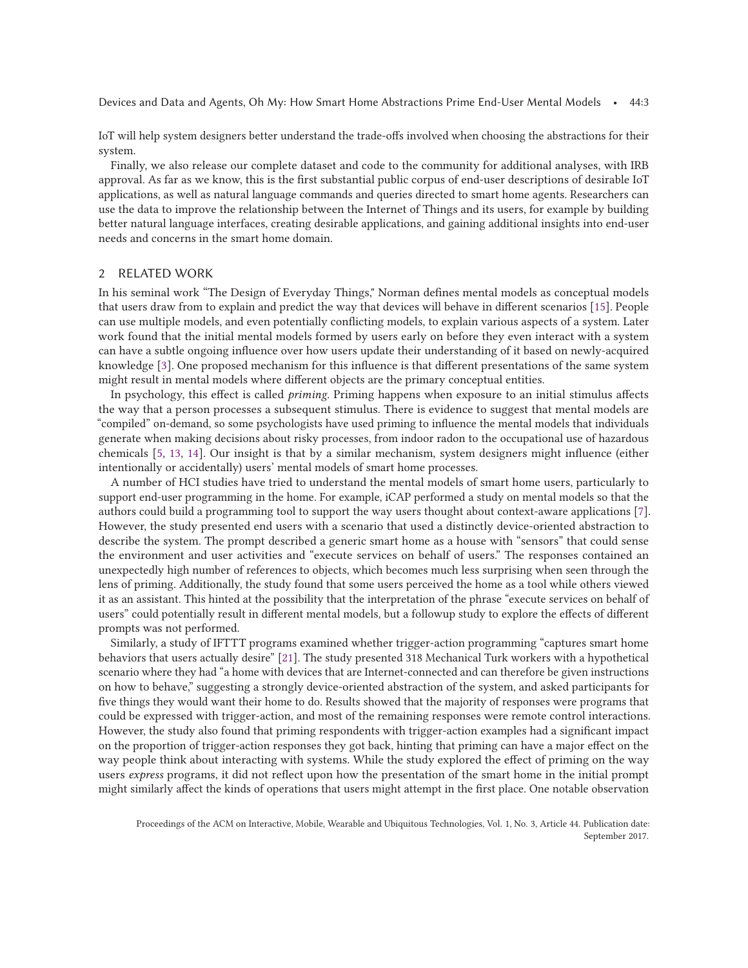IoT will help system designers better understand the trade-offs involved when choosing the abstractions for their system.

Finally, we also release our complete dataset and code to the community for additional analyses, with IRB approval. As far as we know, this is the first substantial public corpus of end-user descriptions of desirable IoT applications, as well as natural language commands and queries directed to smart home agents. Researchers can use the data to improve the relationship between the Internet of Things and its users, for example by building better natural language interfaces, creating desirable applications, and gaining additional insights into end-user needs and concerns in the smart home domain.

#### 2 RELATED WORK

In his seminal work "The Design of Everyday Things," Norman defines mental models as conceptual models that users draw from to explain and predict the way that devices will behave in different scenarios [\[15\]](#page-17-1). People can use multiple models, and even potentially conflicting models, to explain various aspects of a system. Later work found that the initial mental models formed by users early on before they even interact with a system can have a subtle ongoing influence over how users update their understanding of it based on newly-acquired knowledge [\[3\]](#page-17-2). One proposed mechanism for this influence is that different presentations of the same system might result in mental models where different objects are the primary conceptual entities.

In psychology, this effect is called *priming*. Priming happens when exposure to an initial stimulus affects the way that a person processes a subsequent stimulus. There is evidence to suggest that mental models are "compiled" on-demand, so some psychologists have used priming to influence the mental models that individuals generate when making decisions about risky processes, from indoor radon to the occupational use of hazardous chemicals [\[5,](#page-17-3) [13,](#page-17-4) [14\]](#page-17-5). Our insight is that by a similar mechanism, system designers might influence (either intentionally or accidentally) users' mental models of smart home processes.

A number of HCI studies have tried to understand the mental models of smart home users, particularly to support end-user programming in the home. For example, iCAP performed a study on mental models so that the authors could build a programming tool to support the way users thought about context-aware applications [\[7\]](#page-17-6). However, the study presented end users with a scenario that used a distinctly device-oriented abstraction to describe the system. The prompt described a generic smart home as a house with "sensors" that could sense the environment and user activities and "execute services on behalf of users." The responses contained an unexpectedly high number of references to objects, which becomes much less surprising when seen through the lens of priming. Additionally, the study found that some users perceived the home as a tool while others viewed it as an assistant. This hinted at the possibility that the interpretation of the phrase "execute services on behalf of users" could potentially result in different mental models, but a followup study to explore the effects of different prompts was not performed.

Similarly, a study of IFTTT programs examined whether trigger-action programming "captures smart home behaviors that users actually desire" [\[21\]](#page-17-7). The study presented 318 Mechanical Turk workers with a hypothetical scenario where they had "a home with devices that are Internet-connected and can therefore be given instructions on how to behave," suggesting a strongly device-oriented abstraction of the system, and asked participants for five things they would want their home to do. Results showed that the majority of responses were programs that could be expressed with trigger-action, and most of the remaining responses were remote control interactions. However, the study also found that priming respondents with trigger-action examples had a significant impact on the proportion of trigger-action responses they got back, hinting that priming can have a major effect on the way people think about interacting with systems. While the study explored the effect of priming on the way users *express* programs, it did not reflect upon how the presentation of the smart home in the initial prompt might similarly affect the kinds of operations that users might attempt in the first place. One notable observation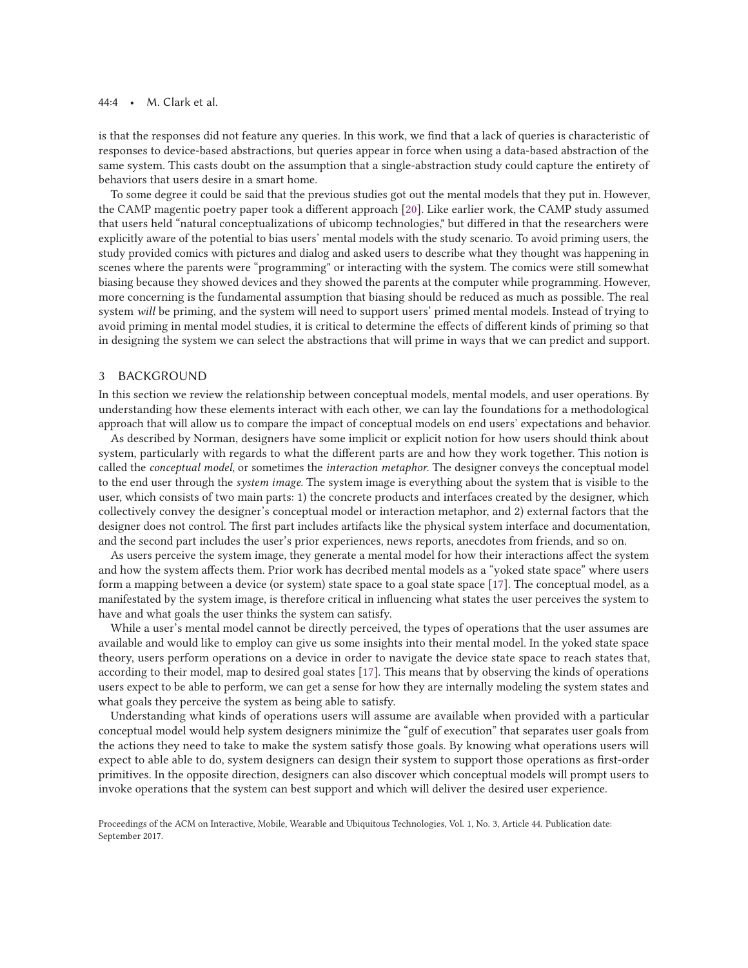#### 44:4 • M. Clark et al.

is that the responses did not feature any queries. In this work, we find that a lack of queries is characteristic of responses to device-based abstractions, but queries appear in force when using a data-based abstraction of the same system. This casts doubt on the assumption that a single-abstraction study could capture the entirety of behaviors that users desire in a smart home.

To some degree it could be said that the previous studies got out the mental models that they put in. However, the CAMP magentic poetry paper took a different approach [\[20\]](#page-17-8). Like earlier work, the CAMP study assumed that users held "natural conceptualizations of ubicomp technologies," but differed in that the researchers were explicitly aware of the potential to bias users' mental models with the study scenario. To avoid priming users, the study provided comics with pictures and dialog and asked users to describe what they thought was happening in scenes where the parents were "programming" or interacting with the system. The comics were still somewhat biasing because they showed devices and they showed the parents at the computer while programming. However, more concerning is the fundamental assumption that biasing should be reduced as much as possible. The real system *will* be priming, and the system will need to support users' primed mental models. Instead of trying to avoid priming in mental model studies, it is critical to determine the effects of different kinds of priming so that in designing the system we can select the abstractions that will prime in ways that we can predict and support.

### 3 BACKGROUND

In this section we review the relationship between conceptual models, mental models, and user operations. By understanding how these elements interact with each other, we can lay the foundations for a methodological approach that will allow us to compare the impact of conceptual models on end users' expectations and behavior.

As described by Norman, designers have some implicit or explicit notion for how users should think about system, particularly with regards to what the different parts are and how they work together. This notion is called the *conceptual model*, or sometimes the *interaction metaphor*. The designer conveys the conceptual model to the end user through the *system image*. The system image is everything about the system that is visible to the user, which consists of two main parts: 1) the concrete products and interfaces created by the designer, which collectively convey the designer's conceptual model or interaction metaphor, and 2) external factors that the designer does not control. The first part includes artifacts like the physical system interface and documentation, and the second part includes the user's prior experiences, news reports, anecdotes from friends, and so on.

As users perceive the system image, they generate a mental model for how their interactions affect the system and how the system affects them. Prior work has decribed mental models as a "yoked state space" where users form a mapping between a device (or system) state space to a goal state space [\[17\]](#page-17-9). The conceptual model, as a manifestated by the system image, is therefore critical in influencing what states the user perceives the system to have and what goals the user thinks the system can satisfy.

While a user's mental model cannot be directly perceived, the types of operations that the user assumes are available and would like to employ can give us some insights into their mental model. In the yoked state space theory, users perform operations on a device in order to navigate the device state space to reach states that, according to their model, map to desired goal states [\[17\]](#page-17-9). This means that by observing the kinds of operations users expect to be able to perform, we can get a sense for how they are internally modeling the system states and what goals they perceive the system as being able to satisfy.

Understanding what kinds of operations users will assume are available when provided with a particular conceptual model would help system designers minimize the "gulf of execution" that separates user goals from the actions they need to take to make the system satisfy those goals. By knowing what operations users will expect to able able to do, system designers can design their system to support those operations as first-order primitives. In the opposite direction, designers can also discover which conceptual models will prompt users to invoke operations that the system can best support and which will deliver the desired user experience.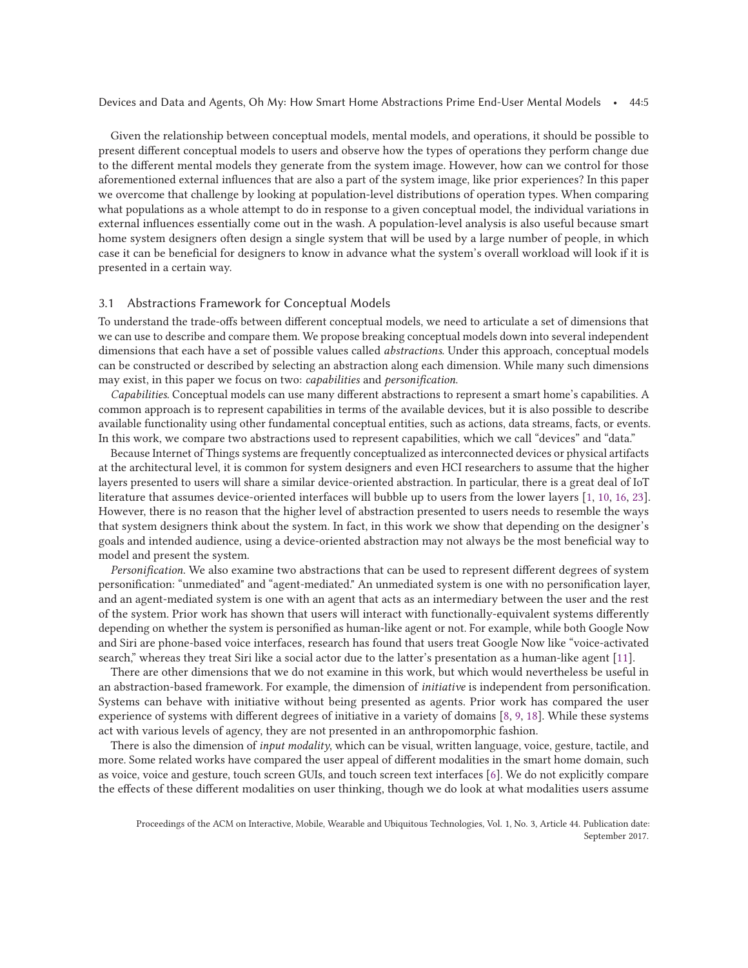Given the relationship between conceptual models, mental models, and operations, it should be possible to present different conceptual models to users and observe how the types of operations they perform change due to the different mental models they generate from the system image. However, how can we control for those aforementioned external influences that are also a part of the system image, like prior experiences? In this paper we overcome that challenge by looking at population-level distributions of operation types. When comparing what populations as a whole attempt to do in response to a given conceptual model, the individual variations in external influences essentially come out in the wash. A population-level analysis is also useful because smart home system designers often design a single system that will be used by a large number of people, in which case it can be beneficial for designers to know in advance what the system's overall workload will look if it is presented in a certain way.

#### 3.1 Abstractions Framework for Conceptual Models

To understand the trade-offs between different conceptual models, we need to articulate a set of dimensions that we can use to describe and compare them. We propose breaking conceptual models down into several independent dimensions that each have a set of possible values called *abstractions*. Under this approach, conceptual models can be constructed or described by selecting an abstraction along each dimension. While many such dimensions may exist, in this paper we focus on two: *capabilities* and *personification*.

*Capabilities*. Conceptual models can use many different abstractions to represent a smart home's capabilities. A common approach is to represent capabilities in terms of the available devices, but it is also possible to describe available functionality using other fundamental conceptual entities, such as actions, data streams, facts, or events. In this work, we compare two abstractions used to represent capabilities, which we call "devices" and "data."

Because Internet of Things systems are frequently conceptualized as interconnected devices or physical artifacts at the architectural level, it is common for system designers and even HCI researchers to assume that the higher layers presented to users will share a similar device-oriented abstraction. In particular, there is a great deal of IoT literature that assumes device-oriented interfaces will bubble up to users from the lower layers [\[1,](#page-16-0) [10,](#page-17-10) [16,](#page-17-11) [23\]](#page-17-12). However, there is no reason that the higher level of abstraction presented to users needs to resemble the ways that system designers think about the system. In fact, in this work we show that depending on the designer's goals and intended audience, using a device-oriented abstraction may not always be the most beneficial way to model and present the system.

*Personification*. We also examine two abstractions that can be used to represent different degrees of system personification: "unmediated" and "agent-mediated." An unmediated system is one with no personification layer, and an agent-mediated system is one with an agent that acts as an intermediary between the user and the rest of the system. Prior work has shown that users will interact with functionally-equivalent systems differently depending on whether the system is personified as human-like agent or not. For example, while both Google Now and Siri are phone-based voice interfaces, research has found that users treat Google Now like "voice-activated search," whereas they treat Siri like a social actor due to the latter's presentation as a human-like agent [\[11\]](#page-17-13).

There are other dimensions that we do not examine in this work, but which would nevertheless be useful in an abstraction-based framework. For example, the dimension of *initiative* is independent from personification. Systems can behave with initiative without being presented as agents. Prior work has compared the user experience of systems with different degrees of initiative in a variety of domains [\[8,](#page-17-14) [9,](#page-17-15) [18\]](#page-17-16). While these systems act with various levels of agency, they are not presented in an anthropomorphic fashion.

There is also the dimension of *input modality*, which can be visual, written language, voice, gesture, tactile, and more. Some related works have compared the user appeal of different modalities in the smart home domain, such as voice, voice and gesture, touch screen GUIs, and touch screen text interfaces [\[6\]](#page-17-17). We do not explicitly compare the effects of these different modalities on user thinking, though we do look at what modalities users assume

Proceedings of the ACM on Interactive, Mobile, Wearable and Ubiquitous Technologies, Vol. 1, No. 3, Article 44. Publication date: September 2017.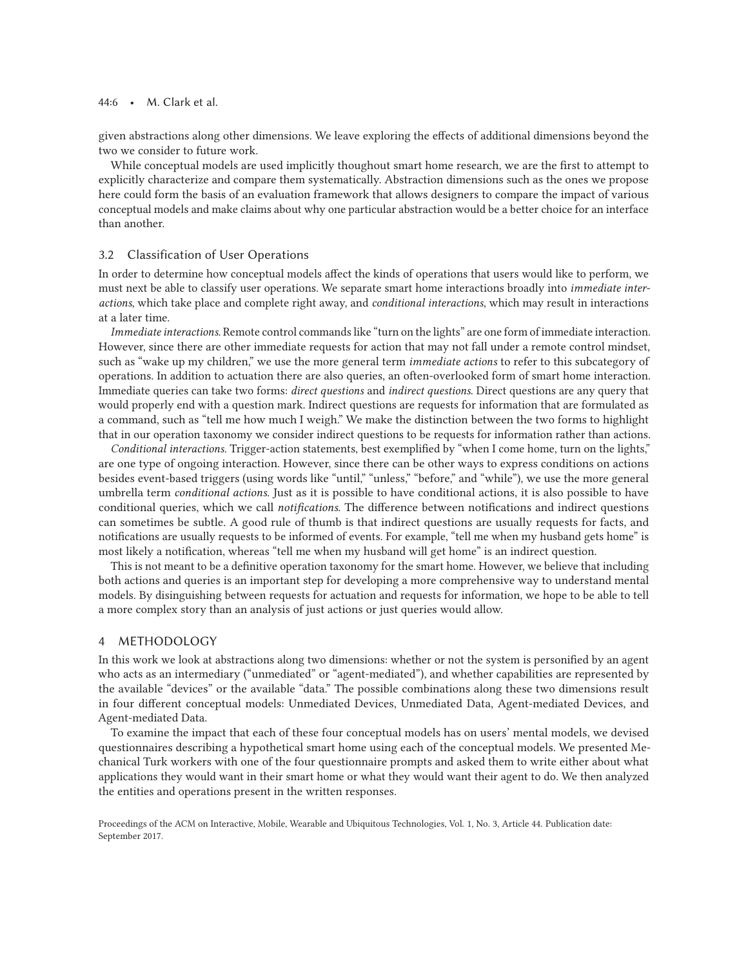#### 44:6 • M. Clark et al.

given abstractions along other dimensions. We leave exploring the effects of additional dimensions beyond the two we consider to future work.

While conceptual models are used implicitly thoughout smart home research, we are the first to attempt to explicitly characterize and compare them systematically. Abstraction dimensions such as the ones we propose here could form the basis of an evaluation framework that allows designers to compare the impact of various conceptual models and make claims about why one particular abstraction would be a better choice for an interface than another.

#### <span id="page-5-0"></span>3.2 Classification of User Operations

In order to determine how conceptual models affect the kinds of operations that users would like to perform, we must next be able to classify user operations. We separate smart home interactions broadly into *immediate interactions*, which take place and complete right away, and *conditional interactions*, which may result in interactions at a later time.

*Immediate interactions*. Remote control commands like "turn on the lights" are one form of immediate interaction. However, since there are other immediate requests for action that may not fall under a remote control mindset, such as "wake up my children," we use the more general term *immediate actions* to refer to this subcategory of operations. In addition to actuation there are also queries, an often-overlooked form of smart home interaction. Immediate queries can take two forms: *direct questions* and *indirect questions*. Direct questions are any query that would properly end with a question mark. Indirect questions are requests for information that are formulated as a command, such as "tell me how much I weigh." We make the distinction between the two forms to highlight that in our operation taxonomy we consider indirect questions to be requests for information rather than actions.

*Conditional interactions*. Trigger-action statements, best exemplified by "when I come home, turn on the lights," are one type of ongoing interaction. However, since there can be other ways to express conditions on actions besides event-based triggers (using words like "until," "unless," "before," and "while"), we use the more general umbrella term *conditional actions*. Just as it is possible to have conditional actions, it is also possible to have conditional queries, which we call *notifications*. The difference between notifications and indirect questions can sometimes be subtle. A good rule of thumb is that indirect questions are usually requests for facts, and notifications are usually requests to be informed of events. For example, "tell me when my husband gets home" is most likely a notification, whereas "tell me when my husband will get home" is an indirect question.

This is not meant to be a definitive operation taxonomy for the smart home. However, we believe that including both actions and queries is an important step for developing a more comprehensive way to understand mental models. By disinguishing between requests for actuation and requests for information, we hope to be able to tell a more complex story than an analysis of just actions or just queries would allow.

#### 4 METHODOLOGY

In this work we look at abstractions along two dimensions: whether or not the system is personified by an agent who acts as an intermediary ("unmediated" or "agent-mediated"), and whether capabilities are represented by the available "devices" or the available "data." The possible combinations along these two dimensions result in four different conceptual models: Unmediated Devices, Unmediated Data, Agent-mediated Devices, and Agent-mediated Data.

To examine the impact that each of these four conceptual models has on users' mental models, we devised questionnaires describing a hypothetical smart home using each of the conceptual models. We presented Mechanical Turk workers with one of the four questionnaire prompts and asked them to write either about what applications they would want in their smart home or what they would want their agent to do. We then analyzed the entities and operations present in the written responses.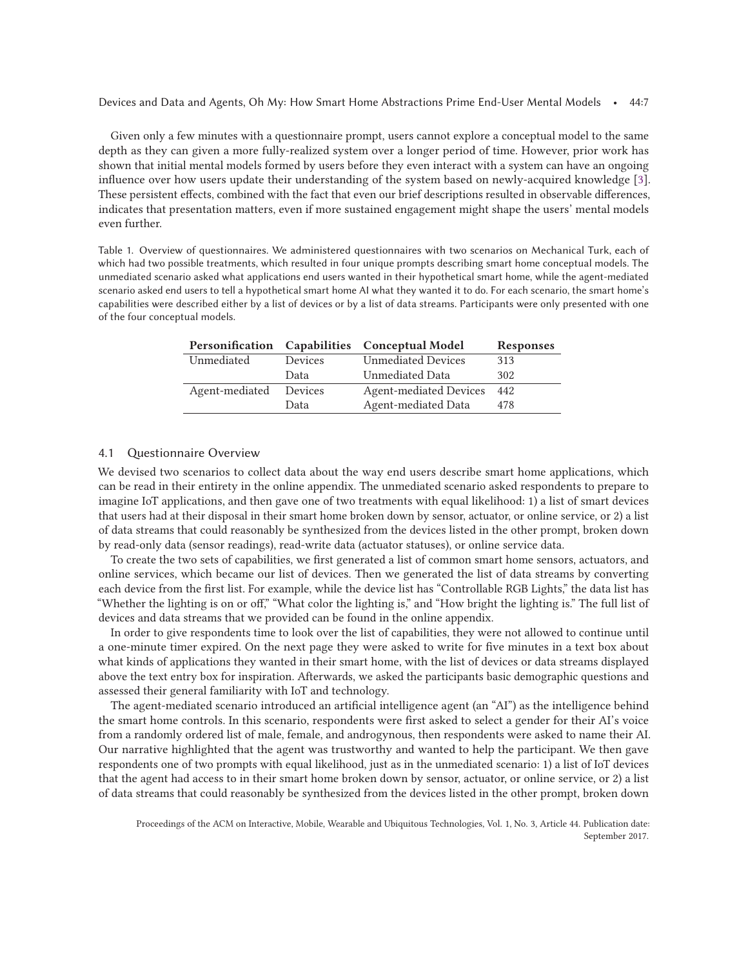Given only a few minutes with a questionnaire prompt, users cannot explore a conceptual model to the same depth as they can given a more fully-realized system over a longer period of time. However, prior work has shown that initial mental models formed by users before they even interact with a system can have an ongoing influence over how users update their understanding of the system based on newly-acquired knowledge [\[3\]](#page-17-2). These persistent effects, combined with the fact that even our brief descriptions resulted in observable differences, indicates that presentation matters, even if more sustained engagement might shape the users' mental models even further.

<span id="page-6-0"></span>Table 1. Overview of questionnaires. We administered questionnaires with two scenarios on Mechanical Turk, each of which had two possible treatments, which resulted in four unique prompts describing smart home conceptual models. The unmediated scenario asked what applications end users wanted in their hypothetical smart home, while the agent-mediated scenario asked end users to tell a hypothetical smart home AI what they wanted it to do. For each scenario, the smart home's capabilities were described either by a list of devices or by a list of data streams. Participants were only presented with one of the four conceptual models.

|                        | Personification Capabilities Conceptual Model |                               | Responses |
|------------------------|-----------------------------------------------|-------------------------------|-----------|
| Unmediated             | <b>Unmediated Devices</b><br>Devices          |                               | 313       |
|                        | Data                                          | Unmediated Data               | 302       |
| Agent-mediated Devices |                                               | <b>Agent-mediated Devices</b> | 442       |
|                        | Data                                          | Agent-mediated Data           | 478       |

#### 4.1 Questionnaire Overview

We devised two scenarios to collect data about the way end users describe smart home applications, which can be read in their entirety in the online appendix. The unmediated scenario asked respondents to prepare to imagine IoT applications, and then gave one of two treatments with equal likelihood: 1) a list of smart devices that users had at their disposal in their smart home broken down by sensor, actuator, or online service, or 2) a list of data streams that could reasonably be synthesized from the devices listed in the other prompt, broken down by read-only data (sensor readings), read-write data (actuator statuses), or online service data.

To create the two sets of capabilities, we first generated a list of common smart home sensors, actuators, and online services, which became our list of devices. Then we generated the list of data streams by converting each device from the first list. For example, while the device list has "Controllable RGB Lights," the data list has "Whether the lighting is on or off," "What color the lighting is," and "How bright the lighting is." The full list of devices and data streams that we provided can be found in the online appendix.

In order to give respondents time to look over the list of capabilities, they were not allowed to continue until a one-minute timer expired. On the next page they were asked to write for five minutes in a text box about what kinds of applications they wanted in their smart home, with the list of devices or data streams displayed above the text entry box for inspiration. Afterwards, we asked the participants basic demographic questions and assessed their general familiarity with IoT and technology.

The agent-mediated scenario introduced an artificial intelligence agent (an "AI") as the intelligence behind the smart home controls. In this scenario, respondents were first asked to select a gender for their AI's voice from a randomly ordered list of male, female, and androgynous, then respondents were asked to name their AI. Our narrative highlighted that the agent was trustworthy and wanted to help the participant. We then gave respondents one of two prompts with equal likelihood, just as in the unmediated scenario: 1) a list of IoT devices that the agent had access to in their smart home broken down by sensor, actuator, or online service, or 2) a list of data streams that could reasonably be synthesized from the devices listed in the other prompt, broken down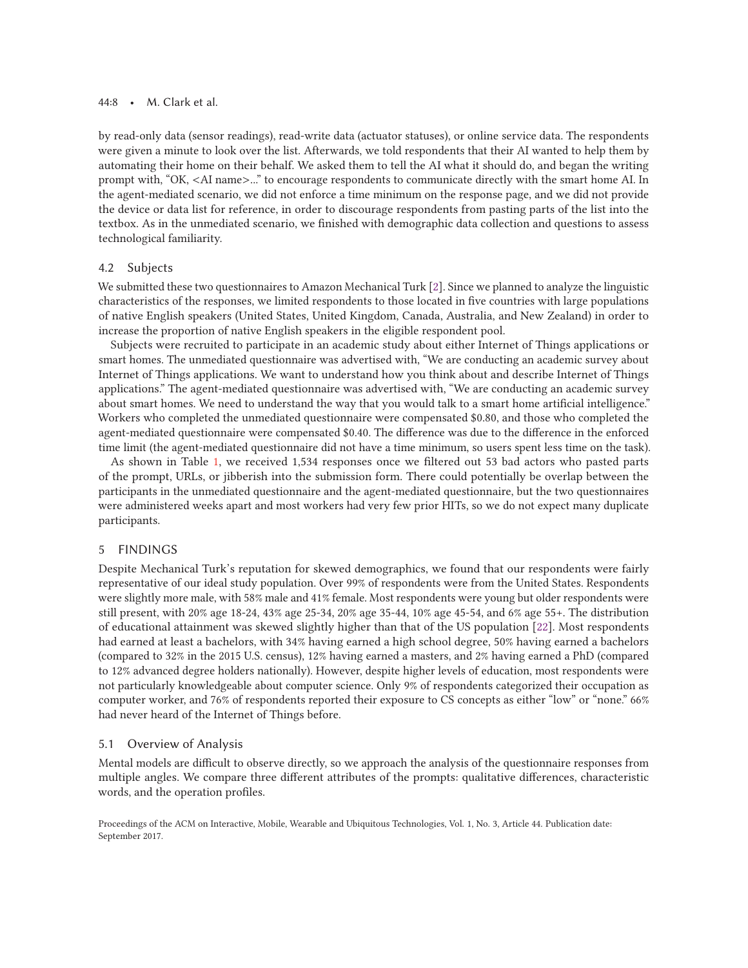#### 44:8 • M. Clark et al.

by read-only data (sensor readings), read-write data (actuator statuses), or online service data. The respondents were given a minute to look over the list. Afterwards, we told respondents that their AI wanted to help them by automating their home on their behalf. We asked them to tell the AI what it should do, and began the writing prompt with, "OK, <AI name>..." to encourage respondents to communicate directly with the smart home AI. In the agent-mediated scenario, we did not enforce a time minimum on the response page, and we did not provide the device or data list for reference, in order to discourage respondents from pasting parts of the list into the textbox. As in the unmediated scenario, we finished with demographic data collection and questions to assess technological familiarity.

### <span id="page-7-0"></span>4.2 Subjects

We submitted these two questionnaires to Amazon Mechanical Turk [\[2\]](#page-16-1). Since we planned to analyze the linguistic characteristics of the responses, we limited respondents to those located in five countries with large populations of native English speakers (United States, United Kingdom, Canada, Australia, and New Zealand) in order to increase the proportion of native English speakers in the eligible respondent pool.

Subjects were recruited to participate in an academic study about either Internet of Things applications or smart homes. The unmediated questionnaire was advertised with, "We are conducting an academic survey about Internet of Things applications. We want to understand how you think about and describe Internet of Things applications." The agent-mediated questionnaire was advertised with, "We are conducting an academic survey about smart homes. We need to understand the way that you would talk to a smart home artificial intelligence." Workers who completed the unmediated questionnaire were compensated \$0.80, and those who completed the agent-mediated questionnaire were compensated \$0.40. The difference was due to the difference in the enforced time limit (the agent-mediated questionnaire did not have a time minimum, so users spent less time on the task).

As shown in Table [1,](#page-6-0) we received 1,534 responses once we filtered out 53 bad actors who pasted parts of the prompt, URLs, or jibberish into the submission form. There could potentially be overlap between the participants in the unmediated questionnaire and the agent-mediated questionnaire, but the two questionnaires were administered weeks apart and most workers had very few prior HITs, so we do not expect many duplicate participants.

### 5 FINDINGS

Despite Mechanical Turk's reputation for skewed demographics, we found that our respondents were fairly representative of our ideal study population. Over 99% of respondents were from the United States. Respondents were slightly more male, with 58% male and 41% female. Most respondents were young but older respondents were still present, with 20% age 18-24, 43% age 25-34, 20% age 35-44, 10% age 45-54, and 6% age 55+. The distribution of educational attainment was skewed slightly higher than that of the US population [\[22\]](#page-17-18). Most respondents had earned at least a bachelors, with 34% having earned a high school degree, 50% having earned a bachelors (compared to 32% in the 2015 U.S. census), 12% having earned a masters, and 2% having earned a PhD (compared to 12% advanced degree holders nationally). However, despite higher levels of education, most respondents were not particularly knowledgeable about computer science. Only 9% of respondents categorized their occupation as computer worker, and 76% of respondents reported their exposure to CS concepts as either "low" or "none." 66% had never heard of the Internet of Things before.

#### 5.1 Overview of Analysis

Mental models are difficult to observe directly, so we approach the analysis of the questionnaire responses from multiple angles. We compare three different attributes of the prompts: qualitative differences, characteristic words, and the operation profiles.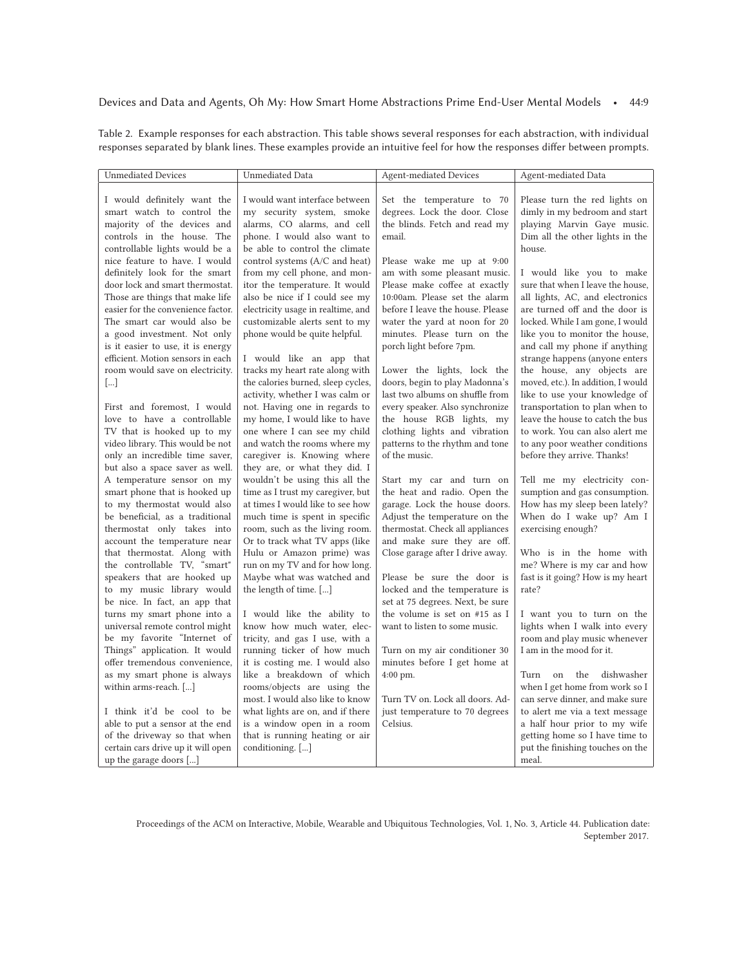<span id="page-8-0"></span>Table 2. Example responses for each abstraction. This table shows several responses for each abstraction, with individual responses separated by blank lines. These examples provide an intuitive feel for how the responses differ between prompts.

| <b>Unmediated Devices</b>          | <b>Unmediated Data</b>             | <b>Agent-mediated Devices</b>    | Agent-mediated Data                |
|------------------------------------|------------------------------------|----------------------------------|------------------------------------|
|                                    |                                    |                                  |                                    |
| I would definitely want the        | I would want interface between     | Set the temperature to 70        | Please turn the red lights on      |
| smart watch to control the         | my security system, smoke          | degrees. Lock the door. Close    | dimly in my bedroom and start      |
| majority of the devices and        | alarms, CO alarms, and cell        | the blinds. Fetch and read my    | playing Marvin Gaye music.         |
| controls in the house. The         | phone. I would also want to        | email.                           | Dim all the other lights in the    |
| controllable lights would be a     | be able to control the climate     |                                  | house.                             |
| nice feature to have. I would      | control systems (A/C and heat)     | Please wake me up at 9:00        |                                    |
| definitely look for the smart      | from my cell phone, and mon-       | am with some pleasant music.     | I would like you to make           |
| door lock and smart thermostat.    | itor the temperature. It would     | Please make coffee at exactly    | sure that when I leave the house,  |
| Those are things that make life    | also be nice if I could see my     | 10:00am. Please set the alarm    | all lights, AC, and electronics    |
| easier for the convenience factor. | electricity usage in realtime, and | before I leave the house. Please | are turned off and the door is     |
| The smart car would also be        | customizable alerts sent to my     | water the yard at noon for 20    | locked. While I am gone, I would   |
| a good investment. Not only        | phone would be quite helpful.      | minutes. Please turn on the      | like you to monitor the house,     |
| is it easier to use, it is energy  |                                    | porch light before 7pm.          | and call my phone if anything      |
| efficient. Motion sensors in each  | I would like an app that           |                                  | strange happens (anyone enters     |
| room would save on electricity.    | tracks my heart rate along with    | Lower the lights, lock the       | the house, any objects are         |
| $\lceil \dots \rceil$              | the calories burned, sleep cycles, | doors, begin to play Madonna's   | moved, etc.). In addition, I would |
|                                    | activity, whether I was calm or    | last two albums on shuffle from  | like to use your knowledge of      |
| First and foremost, I would        | not. Having one in regards to      | every speaker. Also synchronize  | transportation to plan when to     |
| love to have a controllable        | my home, I would like to have      | the house RGB lights, my         | leave the house to catch the bus   |
| TV that is hooked up to my         | one where I can see my child       | clothing lights and vibration    | to work. You can also alert me     |
| video library. This would be not   | and watch the rooms where my       | patterns to the rhythm and tone  | to any poor weather conditions     |
| only an incredible time saver,     | caregiver is. Knowing where        | of the music.                    | before they arrive. Thanks!        |
| but also a space saver as well.    | they are, or what they did. I      |                                  |                                    |
| A temperature sensor on my         | wouldn't be using this all the     | Start my car and turn on         | Tell me my electricity con-        |
| smart phone that is hooked up      | time as I trust my caregiver, but  | the heat and radio. Open the     | sumption and gas consumption.      |
| to my thermostat would also        | at times I would like to see how   | garage. Lock the house doors.    | How has my sleep been lately?      |
| be beneficial, as a traditional    | much time is spent in specific     | Adjust the temperature on the    | When do I wake up? Am I            |
| thermostat only takes into         | room, such as the living room.     | thermostat. Check all appliances | exercising enough?                 |
| account the temperature near       | Or to track what TV apps (like     | and make sure they are off.      |                                    |
| that thermostat. Along with        | Hulu or Amazon prime) was          | Close garage after I drive away. | Who is in the home with            |
| the controllable TV, "smart"       | run on my TV and for how long.     |                                  | me? Where is my car and how        |
| speakers that are hooked up        | Maybe what was watched and         | Please be sure the door is       | fast is it going? How is my heart  |
| to my music library would          | the length of time. []             | locked and the temperature is    | rate?                              |
| be nice. In fact, an app that      |                                    | set at 75 degrees. Next, be sure |                                    |
| turns my smart phone into a        | I would like the ability to        | the volume is set on #15 as I    | I want you to turn on the          |
| universal remote control might     | know how much water, elec-         | want to listen to some music.    | lights when I walk into every      |
| be my favorite "Internet of        | tricity, and gas I use, with a     |                                  | room and play music whenever       |
| Things" application. It would      | running ticker of how much         | Turn on my air conditioner 30    | I am in the mood for it.           |
| offer tremendous convenience,      | it is costing me. I would also     | minutes before I get home at     |                                    |
| as my smart phone is always        | like a breakdown of which          | 4:00 pm.                         | the<br>dishwasher<br>Turn<br>on    |
| within arms-reach. []              | rooms/objects are using the        |                                  | when I get home from work so I     |
|                                    | most. I would also like to know    | Turn TV on. Lock all doors. Ad-  | can serve dinner, and make sure    |
| I think it'd be cool to be         | what lights are on, and if there   | just temperature to 70 degrees   | to alert me via a text message     |
| able to put a sensor at the end    | is a window open in a room         | Celsius.                         | a half hour prior to my wife       |
| of the driveway so that when       | that is running heating or air     |                                  | getting home so I have time to     |
| certain cars drive up it will open | conditioning. []                   |                                  | put the finishing touches on the   |
| up the garage doors $[\dots]$      |                                    |                                  | meal.                              |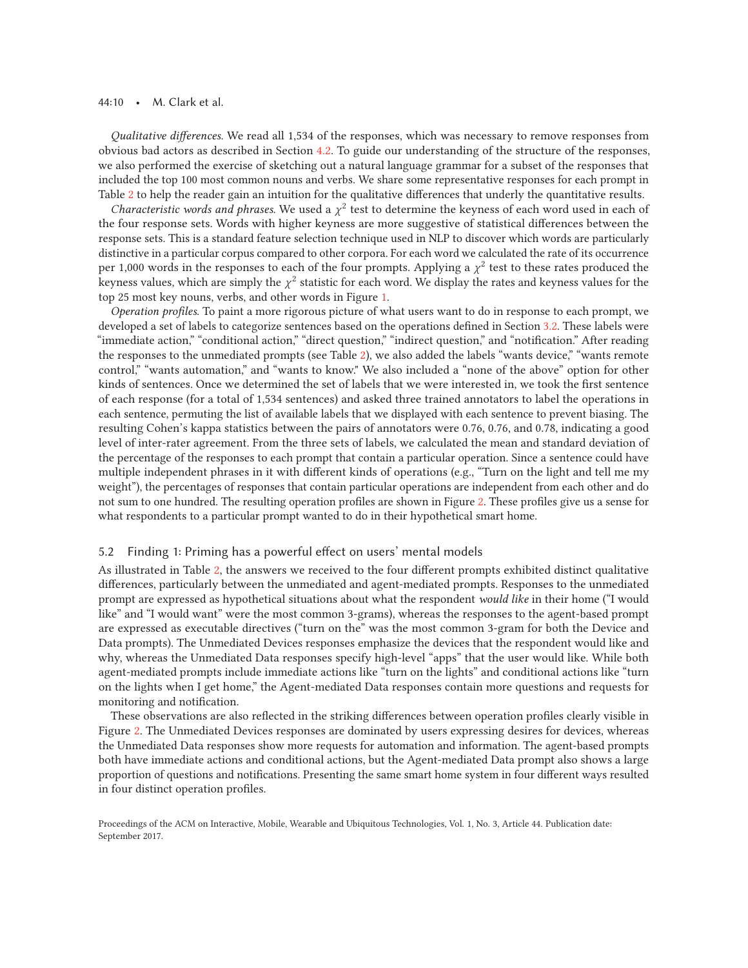#### 44:10 • M. Clark et al.

*Qualitative differences*. We read all 1,534 of the responses, which was necessary to remove responses from obvious bad actors as described in Section [4.2.](#page-7-0) To guide our understanding of the structure of the responses, we also performed the exercise of sketching out a natural language grammar for a subset of the responses that included the top 100 most common nouns and verbs. We share some representative responses for each prompt in Table [2](#page-8-0) to help the reader gain an intuition for the qualitative differences that underly the quantitative results.

*Characteristic words and phrases.* We used a  $\chi^2$  test to determine the keyness of each word used in each of the four response sets. Words with higher keyness are more suggestive of statistical differences between the response sets. This is a standard feature selection technique used in NLP to discover which words are particularly distinctive in a particular corpus compared to other corpora. For each word we calculated the rate of its occurrence per 1,000 words in the responses to each of the four prompts. Applying a  $\chi^2$  test to these rates produced the keyness values, which are simply the  $\chi^2$  statistic for each word. We display the rates and keyness values for the top 25 most key nouns, verbs, and other words in Figure [1.](#page-10-0)

*Operation profiles*. To paint a more rigorous picture of what users want to do in response to each prompt, we developed a set of labels to categorize sentences based on the operations defined in Section [3.2.](#page-5-0) These labels were "immediate action," "conditional action," "direct question," "indirect question," and "notification." After reading the responses to the unmediated prompts (see Table [2\)](#page-8-0), we also added the labels "wants device," "wants remote control," "wants automation," and "wants to know." We also included a "none of the above" option for other kinds of sentences. Once we determined the set of labels that we were interested in, we took the first sentence of each response (for a total of 1,534 sentences) and asked three trained annotators to label the operations in each sentence, permuting the list of available labels that we displayed with each sentence to prevent biasing. The resulting Cohen's kappa statistics between the pairs of annotators were 0.76, 0.76, and 0.78, indicating a good level of inter-rater agreement. From the three sets of labels, we calculated the mean and standard deviation of the percentage of the responses to each prompt that contain a particular operation. Since a sentence could have multiple independent phrases in it with different kinds of operations (e.g., "Turn on the light and tell me my weight"), the percentages of responses that contain particular operations are independent from each other and do not sum to one hundred. The resulting operation profiles are shown in Figure [2.](#page-11-0) These profiles give us a sense for what respondents to a particular prompt wanted to do in their hypothetical smart home.

#### 5.2 Finding 1: Priming has a powerful effect on users' mental models

As illustrated in Table [2,](#page-8-0) the answers we received to the four different prompts exhibited distinct qualitative differences, particularly between the unmediated and agent-mediated prompts. Responses to the unmediated prompt are expressed as hypothetical situations about what the respondent *would like* in their home ("I would like" and "I would want" were the most common 3-grams), whereas the responses to the agent-based prompt are expressed as executable directives ("turn on the" was the most common 3-gram for both the Device and Data prompts). The Unmediated Devices responses emphasize the devices that the respondent would like and why, whereas the Unmediated Data responses specify high-level "apps" that the user would like. While both agent-mediated prompts include immediate actions like "turn on the lights" and conditional actions like "turn on the lights when I get home," the Agent-mediated Data responses contain more questions and requests for monitoring and notification.

These observations are also reflected in the striking differences between operation profiles clearly visible in Figure [2.](#page-11-0) The Unmediated Devices responses are dominated by users expressing desires for devices, whereas the Unmediated Data responses show more requests for automation and information. The agent-based prompts both have immediate actions and conditional actions, but the Agent-mediated Data prompt also shows a large proportion of questions and notifications. Presenting the same smart home system in four different ways resulted in four distinct operation profiles.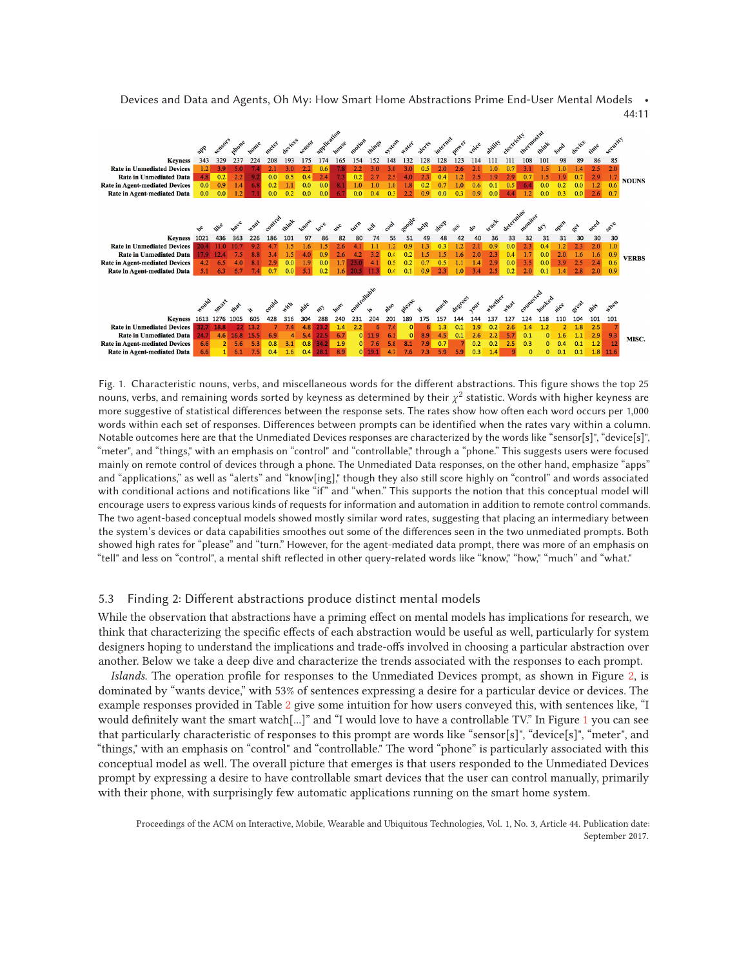<span id="page-10-0"></span>

Fig. 1. Characteristic nouns, verbs, and miscellaneous words for the different abstractions. This figure shows the top 25 nouns, verbs, and remaining words sorted by keyness as determined by their  $\chi^2$  statistic. Words with higher keyness are more suggestive of statistical differences between the response sets. The rates show how often each word occurs per 1,000 words within each set of responses. Differences between prompts can be identified when the rates vary within a column. Notable outcomes here are that the Unmediated Devices responses are characterized by the words like "sensor[s]", "device[s]", "meter", and "things," with an emphasis on "control" and "controllable," through a "phone." This suggests users were focused mainly on remote control of devices through a phone. The Unmediated Data responses, on the other hand, emphasize "apps" and "applications," as well as "alerts" and "know[ing]," though they also still score highly on "control" and words associated with conditional actions and notifications like "if" and "when." This supports the notion that this conceptual model will encourage users to express various kinds of requests for information and automation in addition to remote control commands. The two agent-based conceptual models showed mostly similar word rates, suggesting that placing an intermediary between the system's devices or data capabilities smoothes out some of the differences seen in the two unmediated prompts. Both showed high rates for "please" and "turn." However, for the agent-mediated data prompt, there was more of an emphasis on "tell" and less on "control", a mental shift reflected in other query-related words like "know," "how," "much" and "what."

#### 5.3 Finding 2: Different abstractions produce distinct mental models

While the observation that abstractions have a priming effect on mental models has implications for research, we think that characterizing the specific effects of each abstraction would be useful as well, particularly for system designers hoping to understand the implications and trade-offs involved in choosing a particular abstraction over another. Below we take a deep dive and characterize the trends associated with the responses to each prompt.

*Islands*. The operation profile for responses to the Unmediated Devices prompt, as shown in Figure [2,](#page-11-0) is dominated by "wants device," with 53% of sentences expressing a desire for a particular device or devices. The example responses provided in Table [2](#page-8-0) give some intuition for how users conveyed this, with sentences like, "I would definitely want the smart watch[...]" and "I would love to have a controllable TV." In Figure [1](#page-10-0) you can see that particularly characteristic of responses to this prompt are words like "sensor[s]", "device[s]", "meter", and "things," with an emphasis on "control" and "controllable." The word "phone" is particularly associated with this conceptual model as well. The overall picture that emerges is that users responded to the Unmediated Devices prompt by expressing a desire to have controllable smart devices that the user can control manually, primarily with their phone, with surprisingly few automatic applications running on the smart home system.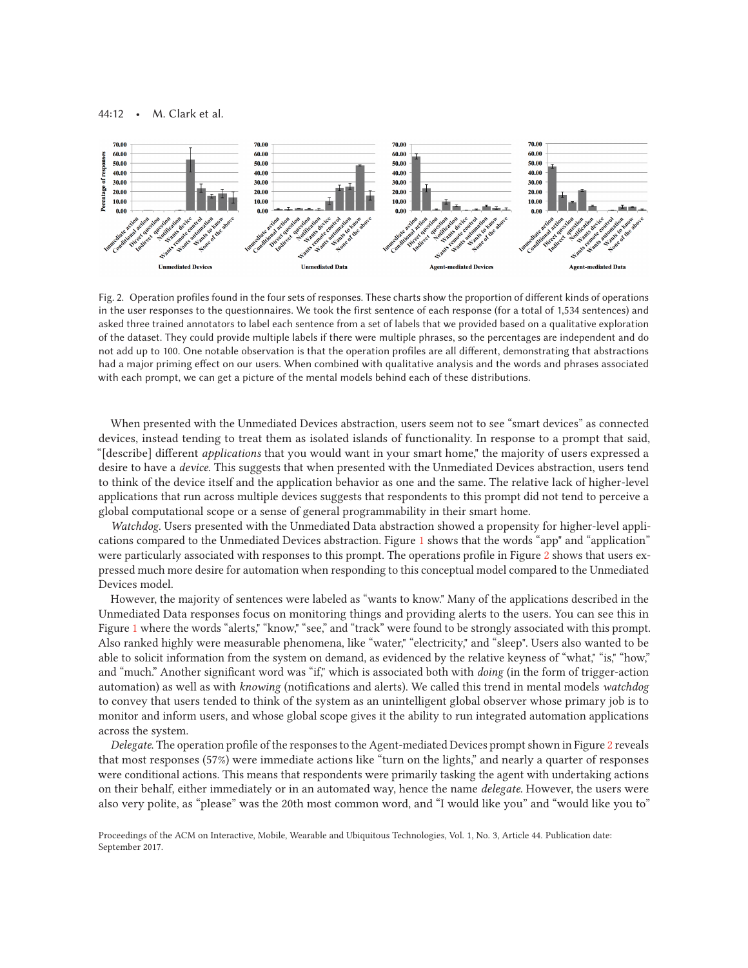

<span id="page-11-0"></span>

Fig. 2. Operation profiles found in the four sets of responses. These charts show the proportion of different kinds of operations in the user responses to the questionnaires. We took the first sentence of each response (for a total of 1,534 sentences) and asked three trained annotators to label each sentence from a set of labels that we provided based on a qualitative exploration of the dataset. They could provide multiple labels if there were multiple phrases, so the percentages are independent and do not add up to 100. One notable observation is that the operation profiles are all different, demonstrating that abstractions had a major priming effect on our users. When combined with qualitative analysis and the words and phrases associated with each prompt, we can get a picture of the mental models behind each of these distributions.

When presented with the Unmediated Devices abstraction, users seem not to see "smart devices" as connected devices, instead tending to treat them as isolated islands of functionality. In response to a prompt that said, "[describe] different *applications* that you would want in your smart home," the majority of users expressed a desire to have a *device*. This suggests that when presented with the Unmediated Devices abstraction, users tend to think of the device itself and the application behavior as one and the same. The relative lack of higher-level applications that run across multiple devices suggests that respondents to this prompt did not tend to perceive a global computational scope or a sense of general programmability in their smart home.

*Watchdog*. Users presented with the Unmediated Data abstraction showed a propensity for higher-level applications compared to the Unmediated Devices abstraction. Figure [1](#page-10-0) shows that the words "app" and "application" were particularly associated with responses to this prompt. The operations profile in Figure [2](#page-11-0) shows that users expressed much more desire for automation when responding to this conceptual model compared to the Unmediated Devices model.

However, the majority of sentences were labeled as "wants to know." Many of the applications described in the Unmediated Data responses focus on monitoring things and providing alerts to the users. You can see this in Figure [1](#page-10-0) where the words "alerts," "know," "see," and "track" were found to be strongly associated with this prompt. Also ranked highly were measurable phenomena, like "water," "electricity," and "sleep". Users also wanted to be able to solicit information from the system on demand, as evidenced by the relative keyness of "what," "is," "how," and "much." Another significant word was "if," which is associated both with *doing* (in the form of trigger-action automation) as well as with *knowing* (notifications and alerts). We called this trend in mental models *watchdog* to convey that users tended to think of the system as an unintelligent global observer whose primary job is to monitor and inform users, and whose global scope gives it the ability to run integrated automation applications across the system.

*Delegate*. The operation profile of the responses to the Agent-mediated Devices prompt shown in Figure [2](#page-11-0) reveals that most responses (57%) were immediate actions like "turn on the lights," and nearly a quarter of responses were conditional actions. This means that respondents were primarily tasking the agent with undertaking actions on their behalf, either immediately or in an automated way, hence the name *delegate*. However, the users were also very polite, as "please" was the 20th most common word, and "I would like you" and "would like you to"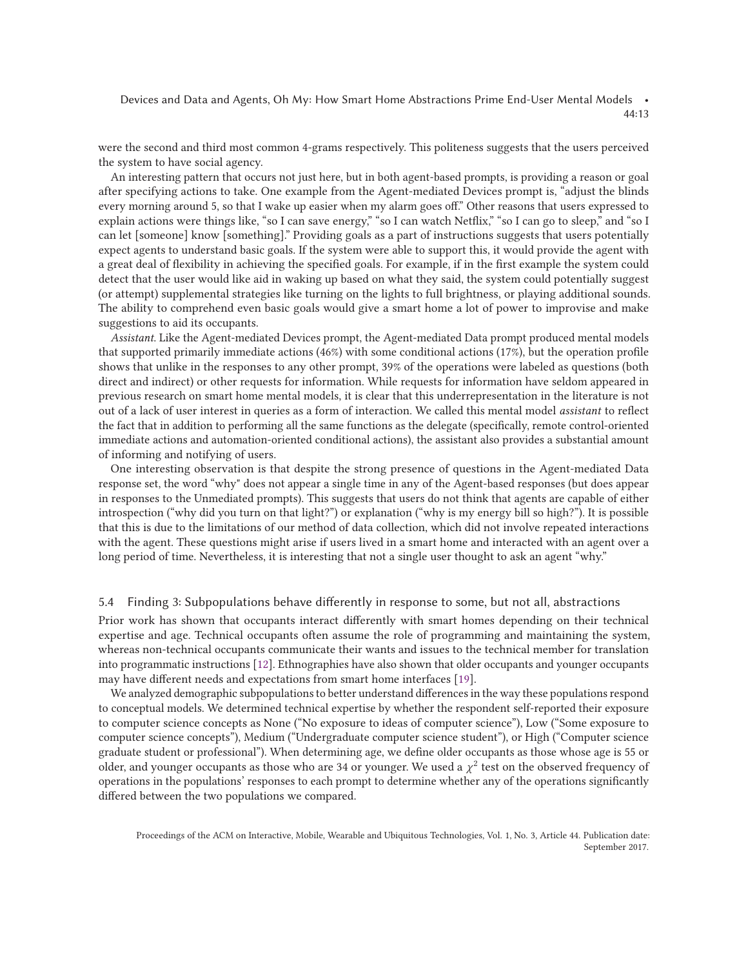were the second and third most common 4-grams respectively. This politeness suggests that the users perceived the system to have social agency.

An interesting pattern that occurs not just here, but in both agent-based prompts, is providing a reason or goal after specifying actions to take. One example from the Agent-mediated Devices prompt is, "adjust the blinds every morning around 5, so that I wake up easier when my alarm goes off." Other reasons that users expressed to explain actions were things like, "so I can save energy," "so I can watch Netflix," "so I can go to sleep," and "so I can let [someone] know [something]." Providing goals as a part of instructions suggests that users potentially expect agents to understand basic goals. If the system were able to support this, it would provide the agent with a great deal of flexibility in achieving the specified goals. For example, if in the first example the system could detect that the user would like aid in waking up based on what they said, the system could potentially suggest (or attempt) supplemental strategies like turning on the lights to full brightness, or playing additional sounds. The ability to comprehend even basic goals would give a smart home a lot of power to improvise and make suggestions to aid its occupants.

*Assistant*. Like the Agent-mediated Devices prompt, the Agent-mediated Data prompt produced mental models that supported primarily immediate actions (46%) with some conditional actions (17%), but the operation profile shows that unlike in the responses to any other prompt, 39% of the operations were labeled as questions (both direct and indirect) or other requests for information. While requests for information have seldom appeared in previous research on smart home mental models, it is clear that this underrepresentation in the literature is not out of a lack of user interest in queries as a form of interaction. We called this mental model *assistant* to reflect the fact that in addition to performing all the same functions as the delegate (specifically, remote control-oriented immediate actions and automation-oriented conditional actions), the assistant also provides a substantial amount of informing and notifying of users.

One interesting observation is that despite the strong presence of questions in the Agent-mediated Data response set, the word "why" does not appear a single time in any of the Agent-based responses (but does appear in responses to the Unmediated prompts). This suggests that users do not think that agents are capable of either introspection ("why did you turn on that light?") or explanation ("why is my energy bill so high?"). It is possible that this is due to the limitations of our method of data collection, which did not involve repeated interactions with the agent. These questions might arise if users lived in a smart home and interacted with an agent over a long period of time. Nevertheless, it is interesting that not a single user thought to ask an agent "why."

#### 5.4 Finding 3: Subpopulations behave differently in response to some, but not all, abstractions

Prior work has shown that occupants interact differently with smart homes depending on their technical expertise and age. Technical occupants often assume the role of programming and maintaining the system, whereas non-technical occupants communicate their wants and issues to the technical member for translation into programmatic instructions [\[12\]](#page-17-19). Ethnographies have also shown that older occupants and younger occupants may have different needs and expectations from smart home interfaces [\[19\]](#page-17-20).

We analyzed demographic subpopulations to better understand differences in the way these populations respond to conceptual models. We determined technical expertise by whether the respondent self-reported their exposure to computer science concepts as None ("No exposure to ideas of computer science"), Low ("Some exposure to computer science concepts"), Medium ("Undergraduate computer science student"), or High ("Computer science graduate student or professional"). When determining age, we define older occupants as those whose age is 55 or older, and younger occupants as those who are 34 or younger. We used a  $\chi^2$  test on the observed frequency of operations in the populations' responses to each prompt to determine whether any of the operations significantly differed between the two populations we compared.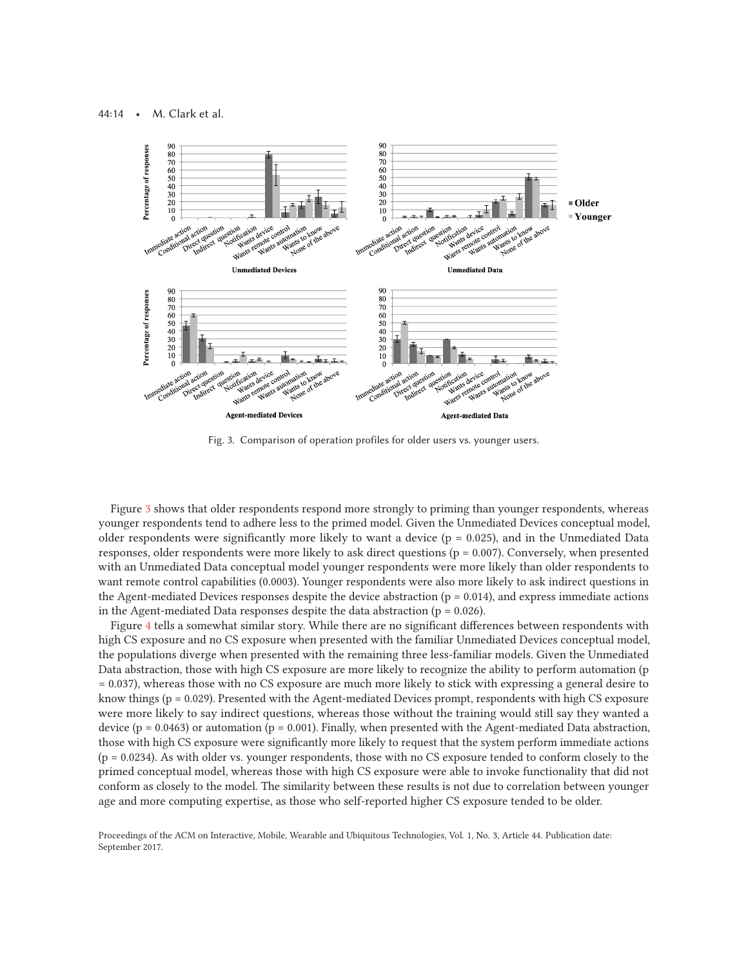<span id="page-13-0"></span>

Fig. 3. Comparison of operation profiles for older users vs. younger users.

Figure [3](#page-13-0) shows that older respondents respond more strongly to priming than younger respondents, whereas younger respondents tend to adhere less to the primed model. Given the Unmediated Devices conceptual model, older respondents were significantly more likely to want a device  $(p = 0.025)$ , and in the Unmediated Data responses, older respondents were more likely to ask direct questions (p = 0.007). Conversely, when presented with an Unmediated Data conceptual model younger respondents were more likely than older respondents to want remote control capabilities (0.0003). Younger respondents were also more likely to ask indirect questions in the Agent-mediated Devices responses despite the device abstraction  $(p = 0.014)$ , and express immediate actions in the Agent-mediated Data responses despite the data abstraction ( $p = 0.026$ ).

Figure [4](#page-14-0) tells a somewhat similar story. While there are no significant differences between respondents with high CS exposure and no CS exposure when presented with the familiar Unmediated Devices conceptual model, the populations diverge when presented with the remaining three less-familiar models. Given the Unmediated Data abstraction, those with high CS exposure are more likely to recognize the ability to perform automation (p = 0.037), whereas those with no CS exposure are much more likely to stick with expressing a general desire to know things (p = 0.029). Presented with the Agent-mediated Devices prompt, respondents with high CS exposure were more likely to say indirect questions, whereas those without the training would still say they wanted a device ( $p = 0.0463$ ) or automation ( $p = 0.001$ ). Finally, when presented with the Agent-mediated Data abstraction, those with high CS exposure were significantly more likely to request that the system perform immediate actions  $(p = 0.0234)$ . As with older vs. younger respondents, those with no CS exposure tended to conform closely to the primed conceptual model, whereas those with high CS exposure were able to invoke functionality that did not conform as closely to the model. The similarity between these results is not due to correlation between younger age and more computing expertise, as those who self-reported higher CS exposure tended to be older.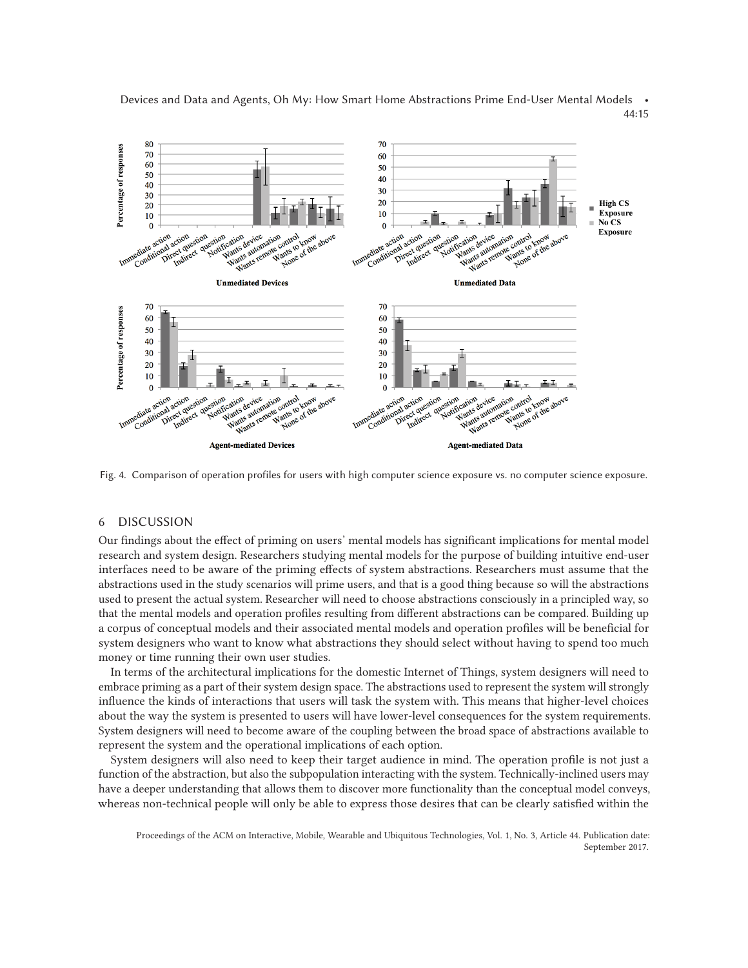<span id="page-14-0"></span>

Fig. 4. Comparison of operation profiles for users with high computer science exposure vs. no computer science exposure.

#### 6 DISCUSSION

Our findings about the effect of priming on users' mental models has significant implications for mental model research and system design. Researchers studying mental models for the purpose of building intuitive end-user interfaces need to be aware of the priming effects of system abstractions. Researchers must assume that the abstractions used in the study scenarios will prime users, and that is a good thing because so will the abstractions used to present the actual system. Researcher will need to choose abstractions consciously in a principled way, so that the mental models and operation profiles resulting from different abstractions can be compared. Building up a corpus of conceptual models and their associated mental models and operation profiles will be beneficial for system designers who want to know what abstractions they should select without having to spend too much money or time running their own user studies.

In terms of the architectural implications for the domestic Internet of Things, system designers will need to embrace priming as a part of their system design space. The abstractions used to represent the system will strongly influence the kinds of interactions that users will task the system with. This means that higher-level choices about the way the system is presented to users will have lower-level consequences for the system requirements. System designers will need to become aware of the coupling between the broad space of abstractions available to represent the system and the operational implications of each option.

System designers will also need to keep their target audience in mind. The operation profile is not just a function of the abstraction, but also the subpopulation interacting with the system. Technically-inclined users may have a deeper understanding that allows them to discover more functionality than the conceptual model conveys, whereas non-technical people will only be able to express those desires that can be clearly satisfied within the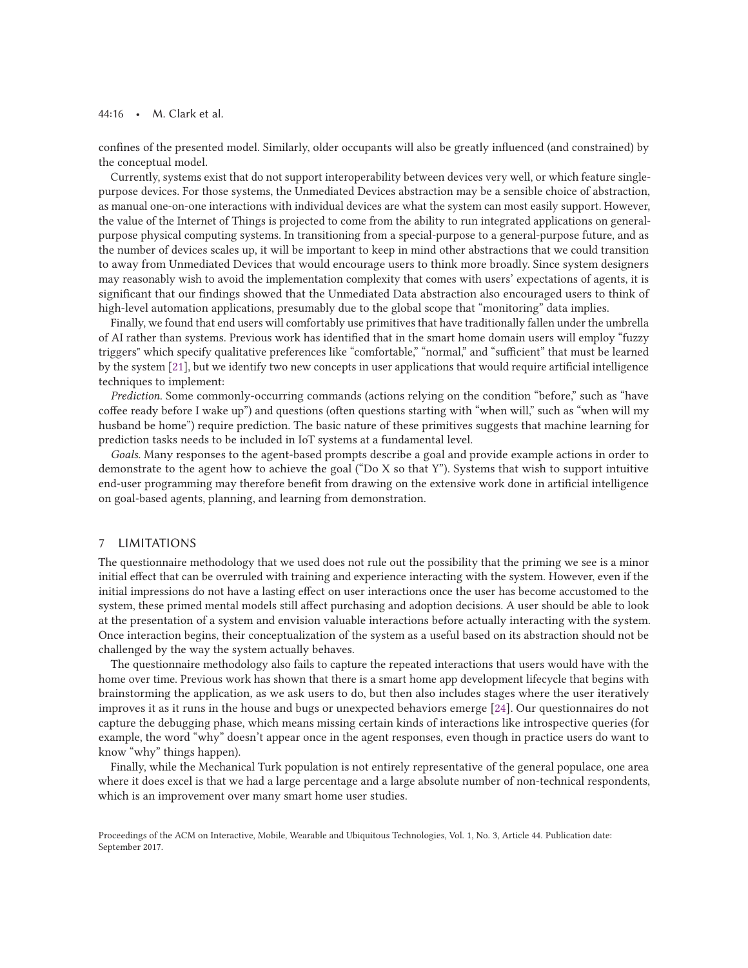### 44:16 • M. Clark et al.

confines of the presented model. Similarly, older occupants will also be greatly influenced (and constrained) by the conceptual model.

Currently, systems exist that do not support interoperability between devices very well, or which feature singlepurpose devices. For those systems, the Unmediated Devices abstraction may be a sensible choice of abstraction, as manual one-on-one interactions with individual devices are what the system can most easily support. However, the value of the Internet of Things is projected to come from the ability to run integrated applications on generalpurpose physical computing systems. In transitioning from a special-purpose to a general-purpose future, and as the number of devices scales up, it will be important to keep in mind other abstractions that we could transition to away from Unmediated Devices that would encourage users to think more broadly. Since system designers may reasonably wish to avoid the implementation complexity that comes with users' expectations of agents, it is significant that our findings showed that the Unmediated Data abstraction also encouraged users to think of high-level automation applications, presumably due to the global scope that "monitoring" data implies.

Finally, we found that end users will comfortably use primitives that have traditionally fallen under the umbrella of AI rather than systems. Previous work has identified that in the smart home domain users will employ "fuzzy triggers" which specify qualitative preferences like "comfortable," "normal," and "sufficient" that must be learned by the system [\[21\]](#page-17-7), but we identify two new concepts in user applications that would require artificial intelligence techniques to implement:

*Prediction*. Some commonly-occurring commands (actions relying on the condition "before," such as "have coffee ready before I wake up") and questions (often questions starting with "when will," such as "when will my husband be home") require prediction. The basic nature of these primitives suggests that machine learning for prediction tasks needs to be included in IoT systems at a fundamental level.

*Goals*. Many responses to the agent-based prompts describe a goal and provide example actions in order to demonstrate to the agent how to achieve the goal ("Do X so that Y"). Systems that wish to support intuitive end-user programming may therefore benefit from drawing on the extensive work done in artificial intelligence on goal-based agents, planning, and learning from demonstration.

### 7 LIMITATIONS

The questionnaire methodology that we used does not rule out the possibility that the priming we see is a minor initial effect that can be overruled with training and experience interacting with the system. However, even if the initial impressions do not have a lasting effect on user interactions once the user has become accustomed to the system, these primed mental models still affect purchasing and adoption decisions. A user should be able to look at the presentation of a system and envision valuable interactions before actually interacting with the system. Once interaction begins, their conceptualization of the system as a useful based on its abstraction should not be challenged by the way the system actually behaves.

The questionnaire methodology also fails to capture the repeated interactions that users would have with the home over time. Previous work has shown that there is a smart home app development lifecycle that begins with brainstorming the application, as we ask users to do, but then also includes stages where the user iteratively improves it as it runs in the house and bugs or unexpected behaviors emerge [\[24\]](#page-17-21). Our questionnaires do not capture the debugging phase, which means missing certain kinds of interactions like introspective queries (for example, the word "why" doesn't appear once in the agent responses, even though in practice users do want to know "why" things happen).

Finally, while the Mechanical Turk population is not entirely representative of the general populace, one area where it does excel is that we had a large percentage and a large absolute number of non-technical respondents, which is an improvement over many smart home user studies.

Proceedings of the ACM on Interactive, Mobile, Wearable and Ubiquitous Technologies, Vol. 1, No. 3, Article 44. Publication date: September 2017.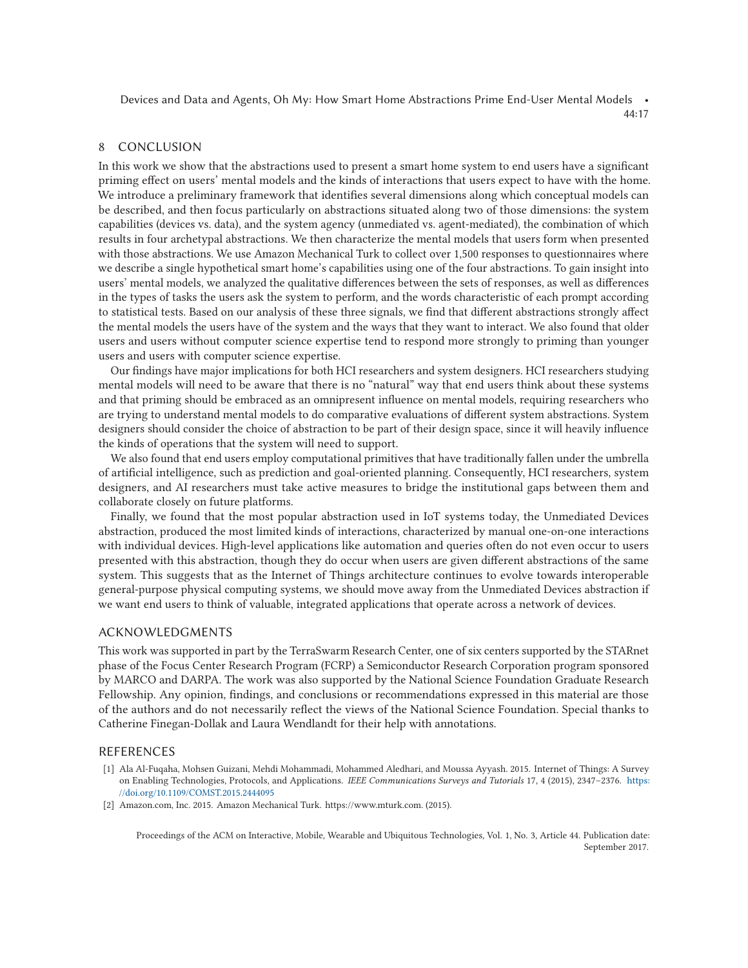### 8 CONCLUSION

In this work we show that the abstractions used to present a smart home system to end users have a significant priming effect on users' mental models and the kinds of interactions that users expect to have with the home. We introduce a preliminary framework that identifies several dimensions along which conceptual models can be described, and then focus particularly on abstractions situated along two of those dimensions: the system capabilities (devices vs. data), and the system agency (unmediated vs. agent-mediated), the combination of which results in four archetypal abstractions. We then characterize the mental models that users form when presented with those abstractions. We use Amazon Mechanical Turk to collect over 1,500 responses to questionnaires where we describe a single hypothetical smart home's capabilities using one of the four abstractions. To gain insight into users' mental models, we analyzed the qualitative differences between the sets of responses, as well as differences in the types of tasks the users ask the system to perform, and the words characteristic of each prompt according to statistical tests. Based on our analysis of these three signals, we find that different abstractions strongly affect the mental models the users have of the system and the ways that they want to interact. We also found that older users and users without computer science expertise tend to respond more strongly to priming than younger users and users with computer science expertise.

Our findings have major implications for both HCI researchers and system designers. HCI researchers studying mental models will need to be aware that there is no "natural" way that end users think about these systems and that priming should be embraced as an omnipresent influence on mental models, requiring researchers who are trying to understand mental models to do comparative evaluations of different system abstractions. System designers should consider the choice of abstraction to be part of their design space, since it will heavily influence the kinds of operations that the system will need to support.

We also found that end users employ computational primitives that have traditionally fallen under the umbrella of artificial intelligence, such as prediction and goal-oriented planning. Consequently, HCI researchers, system designers, and AI researchers must take active measures to bridge the institutional gaps between them and collaborate closely on future platforms.

Finally, we found that the most popular abstraction used in IoT systems today, the Unmediated Devices abstraction, produced the most limited kinds of interactions, characterized by manual one-on-one interactions with individual devices. High-level applications like automation and queries often do not even occur to users presented with this abstraction, though they do occur when users are given different abstractions of the same system. This suggests that as the Internet of Things architecture continues to evolve towards interoperable general-purpose physical computing systems, we should move away from the Unmediated Devices abstraction if we want end users to think of valuable, integrated applications that operate across a network of devices.

#### ACKNOWLEDGMENTS

This work was supported in part by the TerraSwarm Research Center, one of six centers supported by the STARnet phase of the Focus Center Research Program (FCRP) a Semiconductor Research Corporation program sponsored by MARCO and DARPA. The work was also supported by the National Science Foundation Graduate Research Fellowship. Any opinion, findings, and conclusions or recommendations expressed in this material are those of the authors and do not necessarily reflect the views of the National Science Foundation. Special thanks to Catherine Finegan-Dollak and Laura Wendlandt for their help with annotations.

#### REFERENCES

- <span id="page-16-0"></span>[1] Ala Al-Fuqaha, Mohsen Guizani, Mehdi Mohammadi, Mohammed Aledhari, and Moussa Ayyash. 2015. Internet of Things: A Survey on Enabling Technologies, Protocols, and Applications. *IEEE Communications Surveys and Tutorials* 17, 4 (2015), 2347–2376. [https:](https://doi.org/10.1109/COMST.2015.2444095) [//doi.org/10.1109/COMST.2015.2444095](https://doi.org/10.1109/COMST.2015.2444095)
- <span id="page-16-1"></span>[2] Amazon.com, Inc. 2015. Amazon Mechanical Turk. https://www.mturk.com. (2015).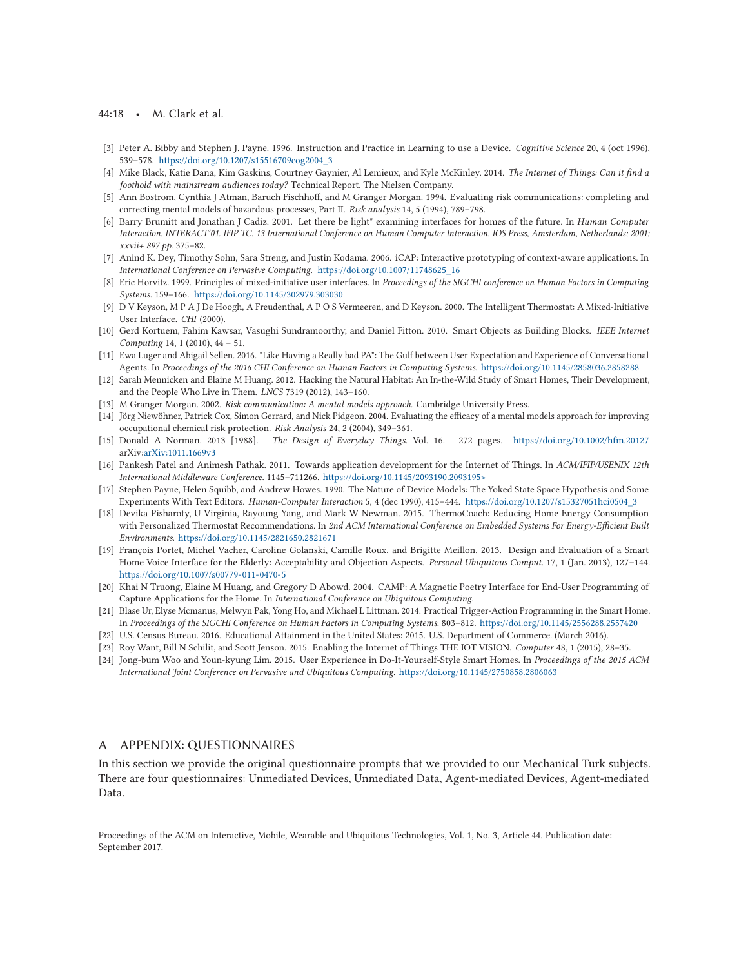#### 44:18 • M. Clark et al.

- <span id="page-17-2"></span>[3] Peter A. Bibby and Stephen J. Payne. 1996. Instruction and Practice in Learning to use a Device. *Cognitive Science* 20, 4 (oct 1996), 539–578. [https://doi.org/10.1207/s15516709cog2004\\_3](https://doi.org/10.1207/s15516709cog2004_3)
- <span id="page-17-0"></span>[4] Mike Black, Katie Dana, Kim Gaskins, Courtney Gaynier, Al Lemieux, and Kyle McKinley. 2014. *The Internet of Things: Can it find a foothold with mainstream audiences today?* Technical Report. The Nielsen Company.
- <span id="page-17-3"></span>[5] Ann Bostrom, Cynthia J Atman, Baruch Fischhoff, and M Granger Morgan. 1994. Evaluating risk communications: completing and correcting mental models of hazardous processes, Part II. *Risk analysis* 14, 5 (1994), 789–798.
- <span id="page-17-17"></span>[6] Barry Brumitt and Jonathan J Cadiz. 2001. Let there be light" examining interfaces for homes of the future. In *Human Computer Interaction. INTERACT'01. IFIP TC. 13 International Conference on Human Computer Interaction. IOS Press, Amsterdam, Netherlands; 2001; xxvii+ 897 pp*. 375–82.
- <span id="page-17-6"></span>[7] Anind K. Dey, Timothy Sohn, Sara Streng, and Justin Kodama. 2006. iCAP: Interactive prototyping of context-aware applications. In *International Conference on Pervasive Computing*. [https://doi.org/10.1007/11748625\\_16](https://doi.org/10.1007/11748625_16)
- <span id="page-17-14"></span>[8] Eric Horvitz. 1999. Principles of mixed-initiative user interfaces. In *Proceedings of the SIGCHI conference on Human Factors in Computing Systems*. 159–166. <https://doi.org/10.1145/302979.303030>
- <span id="page-17-15"></span>[9] D V Keyson, M P A J De Hoogh, A Freudenthal,APOSVermeeren, and D Keyson. 2000. The Intelligent Thermostat: A Mixed-Initiative User Interface. *CHI* (2000).
- <span id="page-17-10"></span>[10] Gerd Kortuem, Fahim Kawsar, Vasughi Sundramoorthy, and Daniel Fitton. 2010. Smart Objects as Building Blocks. *IEEE Internet Computing* 14, 1 (2010), 44 – 51.
- <span id="page-17-13"></span>[11] Ewa Luger and Abigail Sellen. 2016. "Like Having a Really bad PA": The Gulf between User Expectation and Experience of Conversational Agents. In *Proceedings of the 2016 CHI Conference on Human Factors in Computing Systems*. <https://doi.org/10.1145/2858036.2858288>
- <span id="page-17-19"></span>[12] Sarah Mennicken and Elaine M Huang. 2012. Hacking the Natural Habitat: An In-the-Wild Study of Smart Homes, Their Development, and the People Who Live in Them. *LNCS* 7319 (2012), 143–160.
- <span id="page-17-4"></span>[13] M Granger Morgan. 2002. *Risk communication: A mental models approach*. Cambridge University Press.
- <span id="page-17-5"></span>[14] Jörg Niewöhner, Patrick Cox, Simon Gerrard, and Nick Pidgeon. 2004. Evaluating the efficacy of a mental models approach for improving occupational chemical risk protection. *Risk Analysis* 24, 2 (2004), 349–361.
- <span id="page-17-1"></span>[15] Donald A Norman. 2013 [1988]. *The Design of Everyday Things*. Vol. 16. 272 pages. <https://doi.org/10.1002/hfm.20127> arXiv[:arXiv:1011.1669v3](http://arxiv.org/abs/arXiv:1011.1669v3)
- <span id="page-17-11"></span>[16] Pankesh Patel and Animesh Pathak. 2011. Towards application development for the Internet of Things. In *ACM/IFIP/USENIX 12th International Middleware Conference*. 1145–711266. <https://doi.org/10.1145/2093190.2093195>>
- <span id="page-17-9"></span>[17] Stephen Payne, Helen Squibb, and Andrew Howes. 1990. The Nature of Device Models: The Yoked State Space Hypothesis and Some Experiments With Text Editors. *Human-Computer Interaction* 5, 4 (dec 1990), 415–444. [https://doi.org/10.1207/s15327051hci0504\\_3](https://doi.org/10.1207/s15327051hci0504_3)
- <span id="page-17-16"></span>[18] Devika Pisharoty, U Virginia, Rayoung Yang, and Mark W Newman. 2015. ThermoCoach: Reducing Home Energy Consumption with Personalized Thermostat Recommendations. In *2nd ACM International Conference on Embedded Systems For Energy-Efficient Built Environments*. <https://doi.org/10.1145/2821650.2821671>
- <span id="page-17-20"></span>[19] François Portet, Michel Vacher, Caroline Golanski, Camille Roux, and Brigitte Meillon. 2013. Design and Evaluation of a Smart Home Voice Interface for the Elderly: Acceptability and Objection Aspects. *Personal Ubiquitous Comput.* 17, 1 (Jan. 2013), 127–144. <https://doi.org/10.1007/s00779-011-0470-5>
- <span id="page-17-8"></span>[20] Khai N Truong, Elaine M Huang, and Gregory D Abowd. 2004. CAMP: A Magnetic Poetry Interface for End-User Programming of Capture Applications for the Home. In *International Conference on Ubiquitous Computing*.
- <span id="page-17-7"></span>[21] Blase Ur, Elyse Mcmanus, Melwyn Pak, Yong Ho, and Michael L Littman. 2014. Practical Trigger-Action Programming in the Smart Home. In *Proceedings of the SIGCHI Conference on Human Factors in Computing Systems*. 803–812. <https://doi.org/10.1145/2556288.2557420>
- <span id="page-17-18"></span>[22] U.S. Census Bureau. 2016. Educational Attainment in the United States: 2015. U.S. Department of Commerce. (March 2016).
- <span id="page-17-12"></span>[23] Roy Want, Bill N Schilit, and Scott Jenson. 2015. Enabling the Internet of Things THE IOT VISION. *Computer* 48, 1 (2015), 28–35.
- <span id="page-17-21"></span>[24] Jong-bum Woo and Youn-kyung Lim. 2015. User Experience in Do-It-Yourself-Style Smart Homes. In *Proceedings of the 2015 ACM International Joint Conference on Pervasive and Ubiquitous Computing*. <https://doi.org/10.1145/2750858.2806063>

### A APPENDIX: QUESTIONNAIRES

In this section we provide the original questionnaire prompts that we provided to our Mechanical Turk subjects. There are four questionnaires: Unmediated Devices, Unmediated Data, Agent-mediated Devices, Agent-mediated Data.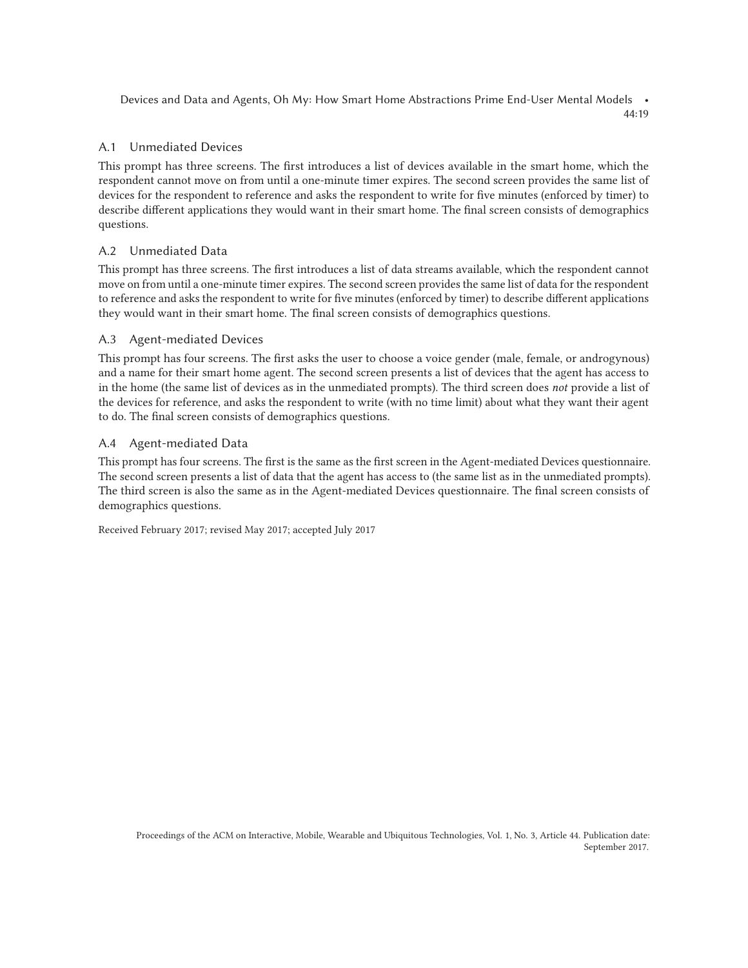## A.1 Unmediated Devices

This prompt has three screens. The first introduces a list of devices available in the smart home, which the respondent cannot move on from until a one-minute timer expires. The second screen provides the same list of devices for the respondent to reference and asks the respondent to write for five minutes (enforced by timer) to describe different applications they would want in their smart home. The final screen consists of demographics questions.

## A.2 Unmediated Data

This prompt has three screens. The first introduces a list of data streams available, which the respondent cannot move on from until a one-minute timer expires. The second screen provides the same list of data for the respondent to reference and asks the respondent to write for five minutes (enforced by timer) to describe different applications they would want in their smart home. The final screen consists of demographics questions.

## A.3 Agent-mediated Devices

This prompt has four screens. The first asks the user to choose a voice gender (male, female, or androgynous) and a name for their smart home agent. The second screen presents a list of devices that the agent has access to in the home (the same list of devices as in the unmediated prompts). The third screen does *not* provide a list of the devices for reference, and asks the respondent to write (with no time limit) about what they want their agent to do. The final screen consists of demographics questions.

## A.4 Agent-mediated Data

This prompt has four screens. The first is the same as the first screen in the Agent-mediated Devices questionnaire. The second screen presents a list of data that the agent has access to (the same list as in the unmediated prompts). The third screen is also the same as in the Agent-mediated Devices questionnaire. The final screen consists of demographics questions.

Received February 2017; revised May 2017; accepted July 2017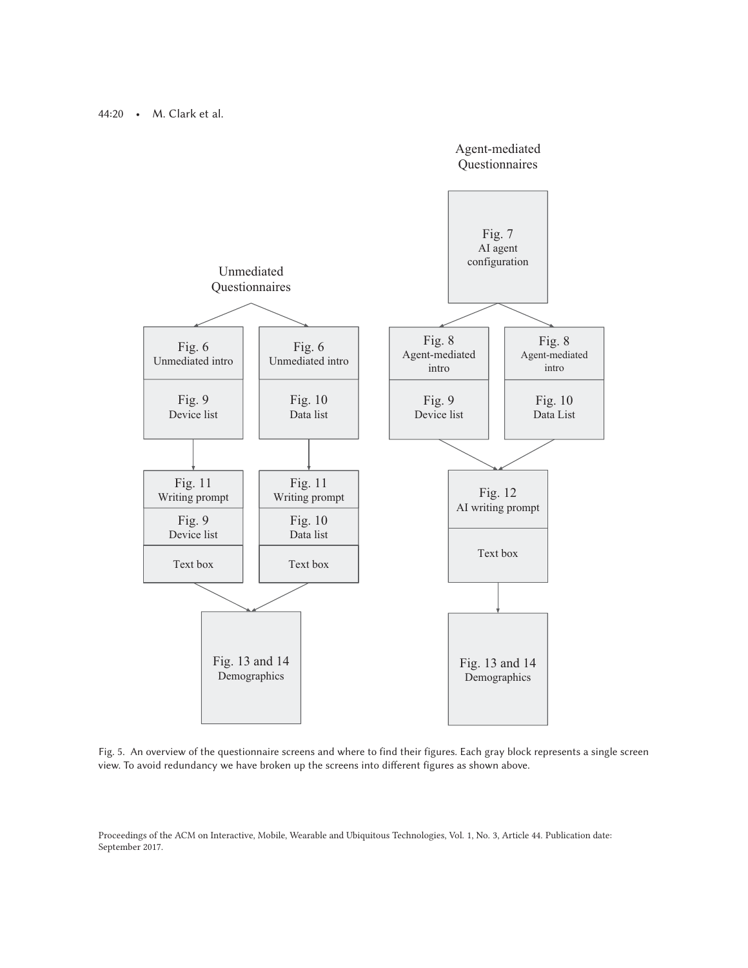

Fig. 5. An overview of the questionnaire screens and where to find their figures. Each gray block represents a single screen view. To avoid redundancy we have broken up the screens into different figures as shown above.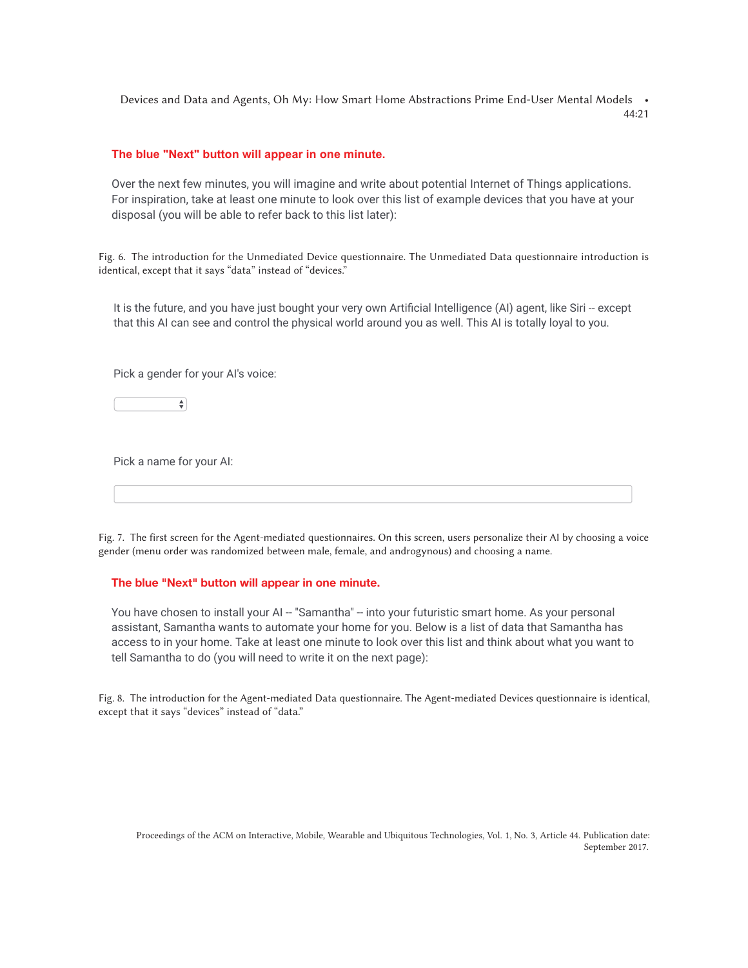### **The blue "Next" button will appear in one minute.**

Over the next few minutes, you will imagine and write about potential Internet of Things applications. For inspiration, take at least one minute to look over this list of example devices that you have at your disposal (you will be able to refer back to this list later):

Fig. 6. The introduction for the Unmediated Device questionnaire. The Unmediated Data questionnaire introduction is identical, except that it says "data" instead of "devices."

It is the future, and you have just bought your very own Artificial Intelligence (AI) agent, like Siri -- except that this AI can see and control the physical world around you as well. This AI is totally loyal to you.

Pick a gender for your AI's voice:

 $\overline{\bullet}$ 

Pick a name for your AI:

Fig. 7. The first screen for the Agent-mediated questionnaires. On this screen, users personalize their AI by choosing a voice gender (menu order was randomized between male, female, and androgynous) and choosing a name.

#### **The blue "Next" button will appear in one minute.**

You have chosen to install your AI -- "Samantha" -- into your futuristic smart home. As your personal assistant, Samantha wants to automate your home for you. Below is a list of data that Samantha has access to in your home. Take at least one minute to look over this list and think about what you want to tell Samantha to do (you will need to write it on the next page):

Fig. 8. The introduction for the Agent-mediated Data questionnaire. The Agent-mediated Devices questionnaire is identical, except that it says "devices" instead of "data."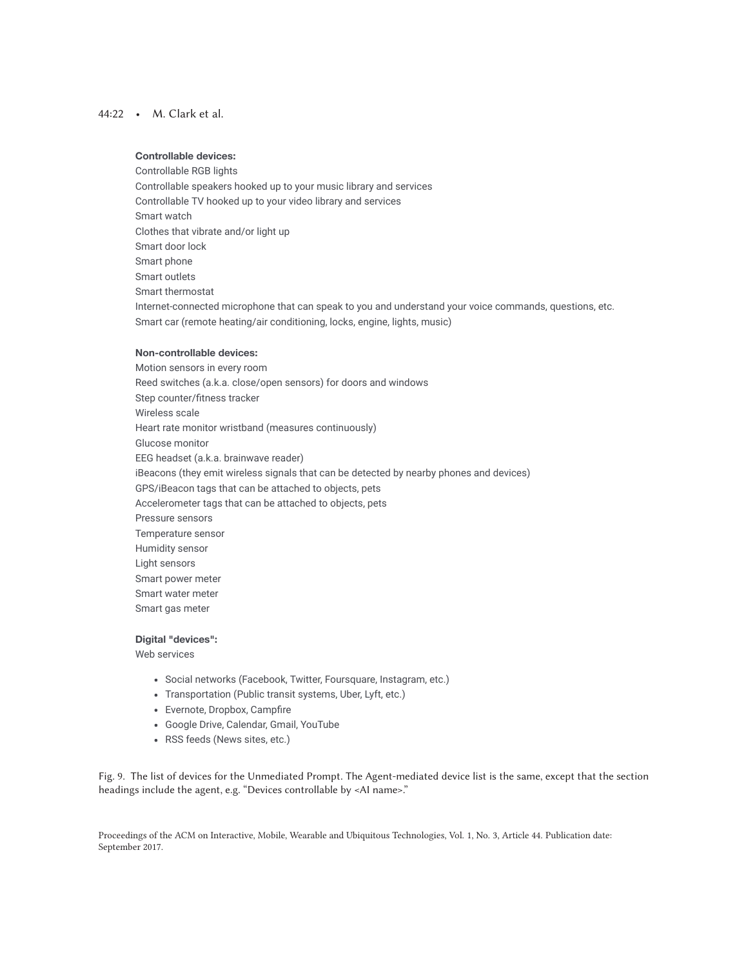### 44:22 • M. Clark et al.

#### **Controllable devices:**

Controllable RGB lights Controllable speakers hooked up to your music library and services Controllable TV hooked up to your video library and services Smart watch Clothes that vibrate and/or light up Smart door lock Smart phone Smart outlets Smart thermostat Internet-connected microphone that can speak to you and understand your voice commands, questions, etc. Smart car (remote heating/air conditioning, locks, engine, lights, music)

#### **Non-controllable devices:**

Motion sensors in every room Reed switches (a.k.a. close/open sensors) for doors and windows Step counter/fitness tracker Wireless scale Heart rate monitor wristband (measures continuously) Glucose monitor EEG headset (a.k.a. brainwave reader) iBeacons (they emit wireless signals that can be detected by nearby phones and devices) GPS/iBeacon tags that can be attached to objects, pets Accelerometer tags that can be attached to objects, pets Pressure sensors Temperature sensor Humidity sensor Light sensors Smart power meter Smart water meter Smart gas meter

#### **Digital "devices":**

Web services

- Social networks (Facebook, Twitter, Foursquare, Instagram, etc.)
- Transportation (Public transit systems, Uber, Lyft, etc.)
- Evernote, Dropbox, Campfire
- Google Drive, Calendar, Gmail, YouTube
- RSS feeds (News sites, etc.)

Fig. 9. The list of devices for the Unmediated Prompt. The Agent-mediated device list is the same, except that the section headings include the agent, e.g. "Devices controllable by <AI name>."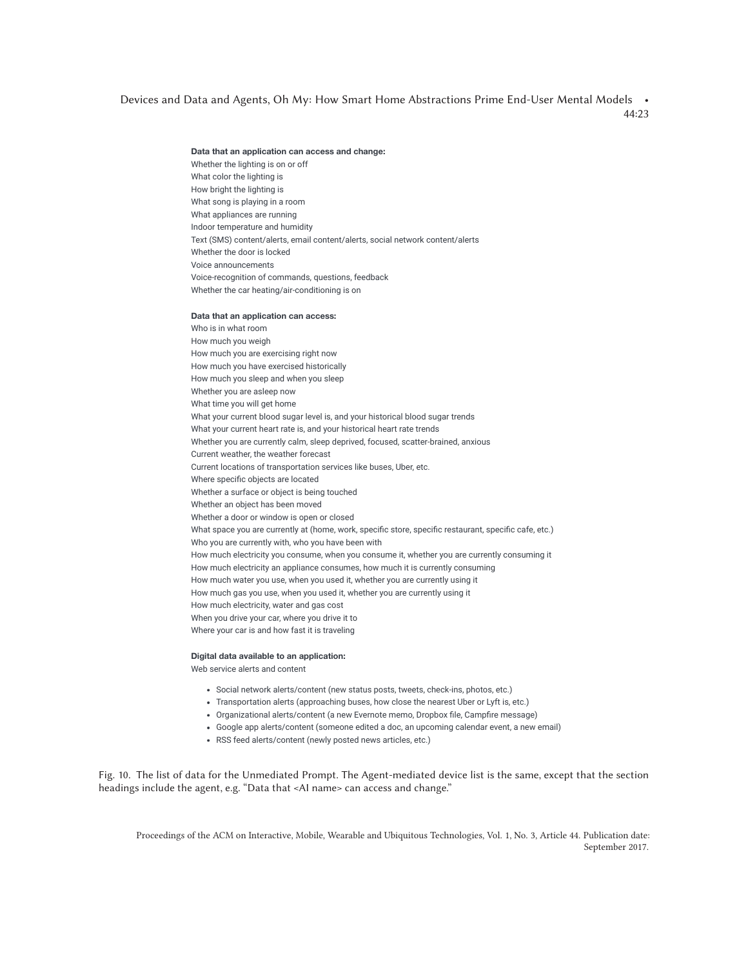#### **Data that an application can access and change:**

Whether the lighting is on or off What color the lighting is How bright the lighting is What song is playing in a room What appliances are running Indoor temperature and humidity Text (SMS) content/alerts, email content/alerts, social network content/alerts Whether the door is locked Voice announcements Voice-recognition of commands, questions, feedback Whether the car heating/air-conditioning is on

#### **Data that an application can access:**

Who is in what room How much you weigh How much you are exercising right now How much you have exercised historically How much you sleep and when you sleep Whether you are asleep now What time you will get home What your current blood sugar level is, and your historical blood sugar trends What your current heart rate is, and your historical heart rate trends Whether you are currently calm, sleep deprived, focused, scatter-brained, anxious Current weather, the weather forecast Current locations of transportation services like buses, Uber, etc. Where specific objects are located Whether a surface or object is being touched Whether an object has been moved Whether a door or window is open or closed What space you are currently at (home, work, specific store, specific restaurant, specific cafe, etc.) Who you are currently with, who you have been with How much electricity you consume, when you consume it, whether you are currently consuming it How much electricity an appliance consumes, how much it is currently consuming How much water you use, when you used it, whether you are currently using it How much gas you use, when you used it, whether you are currently using it How much electricity, water and gas cost When you drive your car, where you drive it to Where your car is and how fast it is traveling

#### **Digital data available to an application:**

Web service alerts and content

- Social network alerts/content (new status posts, tweets, check-ins, photos, etc.)
- Transportation alerts (approaching buses, how close the nearest Uber or Lyft is, etc.)
- Organizational alerts/content (a new Evernote memo, Dropbox file, Campfire message)
- Google app alerts/content (someone edited a doc, an upcoming calendar event, a new email)
- RSS feed alerts/content (newly posted news articles, etc.)

Fig. 10. The list of data for the Unmediated Prompt. The Agent-mediated device list is the same, except that the section headings include the agent, e.g. "Data that <AI name> can access and change."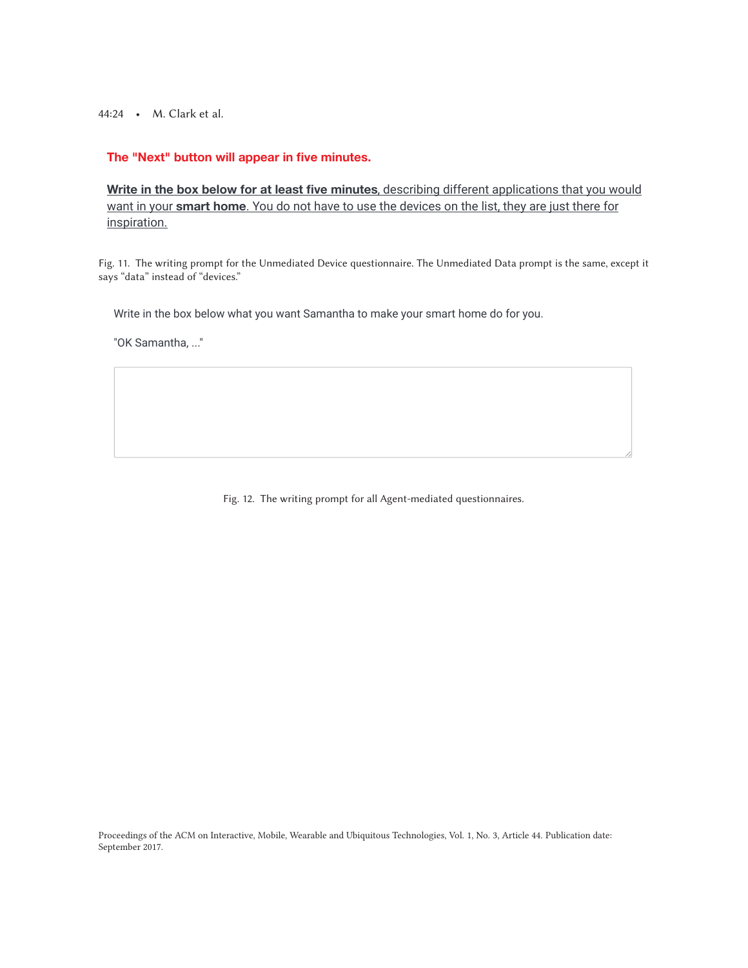44:24 • M. Clark et al.

## **The "Next" button will appear in five minutes.**

**Write in the box below for at least five minutes**, describing different applications that you would want in your **smart home**. You do not have to use the devices on the list, they are just there for inspiration.

Fig. 11. The writing prompt for the Unmediated Device questionnaire. The Unmediated Data prompt is the same, except it says "data" instead of "devices."

Write in the box below what you want Samantha to make your smart home do for you.

"OK Samantha, ..."

Fig. 12. The writing prompt for all Agent-mediated questionnaires.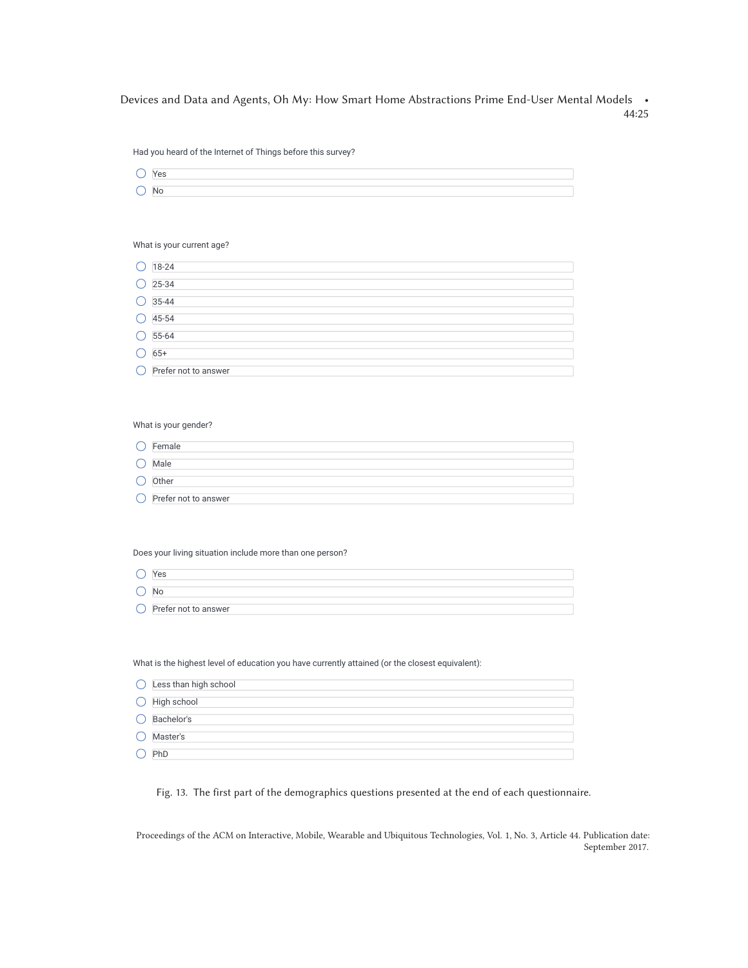Had you heard of the Internet of Things before this survey?

| ರಾ |
|----|
|    |

What is your current age?

|         | 18-24                           |
|---------|---------------------------------|
| $( \ )$ | $25 - 34$                       |
| ( )     | $35 - 44$                       |
|         | 45-54                           |
| $($ )   | 55-64                           |
|         | $65+$                           |
|         | $\bigcirc$ Prefer not to answer |

What is your gender?

| $\bigcirc$ Female               |
|---------------------------------|
| $\bigcirc$ Male                 |
| $\bigcirc$ Other                |
| $\bigcirc$ Prefer not to answer |

Does your living situation include more than one person?

|             | Yes                  |
|-------------|----------------------|
|             |                      |
| $\check{~}$ | Prefer not to answer |

What is the highest level of education you have currently attained (or the closest equivalent):

| $\bigcirc$ Less than high school |
|----------------------------------|
| $\bigcirc$ High school           |
| Bachelor's                       |
| Master's                         |
| $\bigcirc$ PhD                   |

Fig. 13. The first part of the demographics questions presented at the end of each questionnaire.